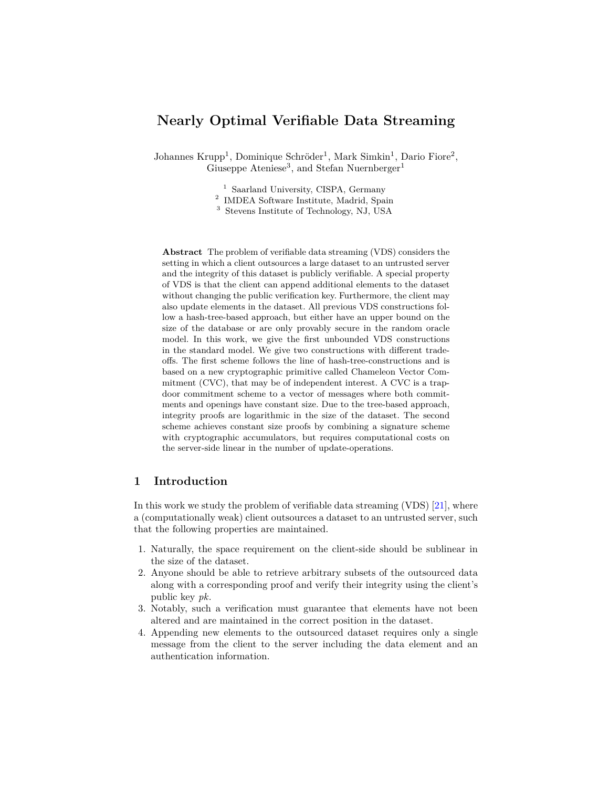# **Nearly Optimal Verifiable Data Streaming**

Johannes Krupp<sup>1</sup>, Dominique Schröder<sup>1</sup>, Mark Simkin<sup>1</sup>, Dario Fiore<sup>2</sup>, Giuseppe Ateniese<sup>3</sup>, and Stefan Nuernberger<sup>1</sup>

<sup>1</sup> Saarland University, CISPA, Germany

2 IMDEA Software Institute, Madrid, Spain

<sup>3</sup> Stevens Institute of Technology, NJ, USA

**Abstract** The problem of verifiable data streaming (VDS) considers the setting in which a client outsources a large dataset to an untrusted server and the integrity of this dataset is publicly verifiable. A special property of VDS is that the client can append additional elements to the dataset without changing the public verification key. Furthermore, the client may also update elements in the dataset. All previous VDS constructions follow a hash-tree-based approach, but either have an upper bound on the size of the database or are only provably secure in the random oracle model. In this work, we give the first unbounded VDS constructions in the standard model. We give two constructions with different tradeoffs. The first scheme follows the line of hash-tree-constructions and is based on a new cryptographic primitive called Chameleon Vector Commitment (CVC), that may be of independent interest. A CVC is a trapdoor commitment scheme to a vector of messages where both commitments and openings have constant size. Due to the tree-based approach, integrity proofs are logarithmic in the size of the dataset. The second scheme achieves constant size proofs by combining a signature scheme with cryptographic accumulators, but requires computational costs on the server-side linear in the number of update-operations.

# <span id="page-0-0"></span>**1 Introduction**

In this work we study the problem of verifiable data streaming (VDS) [\[21\]](#page-28-0), where a (computationally weak) client outsources a dataset to an untrusted server, such that the following properties are maintained.

- 1. Naturally, the space requirement on the client-side should be sublinear in the size of the dataset.
- 2. Anyone should be able to retrieve arbitrary subsets of the outsourced data along with a corresponding proof and verify their integrity using the client's public key *pk*.
- 3. Notably, such a verification must guarantee that elements have not been altered and are maintained in the correct position in the dataset.
- 4. Appending new elements to the outsourced dataset requires only a single message from the client to the server including the data element and an authentication information.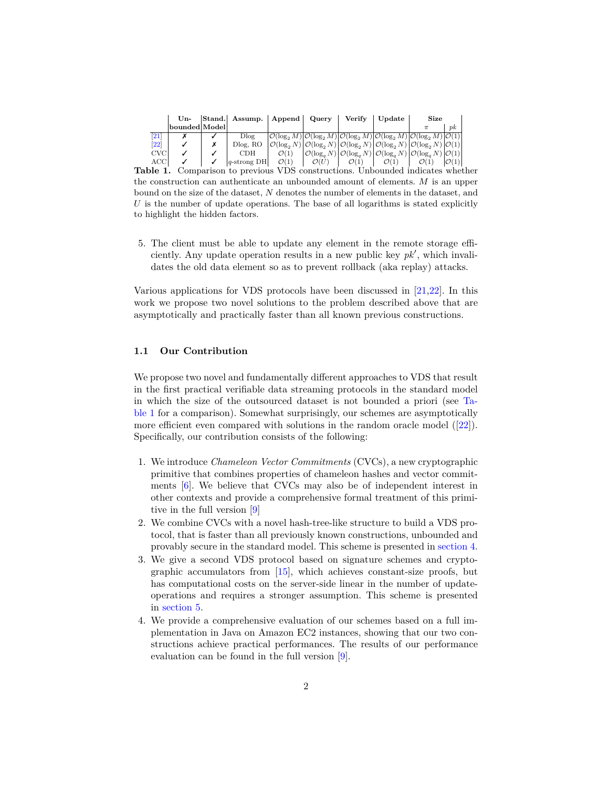|                    | $Un-$         | Stand. Assump. Append Query |                                                                                                                                |                  | <b>Verify</b> | $\blacksquare$ Update | <b>Size</b>                                                                                              |                  |
|--------------------|---------------|-----------------------------|--------------------------------------------------------------------------------------------------------------------------------|------------------|---------------|-----------------------|----------------------------------------------------------------------------------------------------------|------------------|
|                    | bounded Model |                             |                                                                                                                                |                  |               |                       |                                                                                                          | $n_{\kappa}$     |
| $\overline{21}$    |               | Dlog                        | $\mathcal{O}(\log_2 M) \mathcal{O}(\log_2 M) \mathcal{O}(\log_2 M) \mathcal{O}(\log_2 M) \mathcal{O}(\log_2 M) \mathcal{O}(1)$ |                  |               |                       |                                                                                                          |                  |
| $\left[ 22\right]$ |               | Dlog, RO                    | $\mathcal{O}(\log_2 N) \mathcal{O}(\log_2 N) \mathcal{O}(\log_2 N) \mathcal{O}(\log_2 N) \mathcal{O}(\log_2 N) \mathcal{O}(1)$ |                  |               |                       |                                                                                                          |                  |
| $_{\mathrm{CVC}}$  |               | <b>CDH</b>                  | $\mathcal{O}(1)$                                                                                                               |                  |               |                       | $\mathcal{O}(\log_a N) \mathcal{O}(\log_a N) \mathcal{O}(\log_a N) \mathcal{O}(\log_a N) \mathcal{O}(1)$ |                  |
| $\rm ACC$          |               | $ q\text{-strong DH} $      | $\mathcal{O}(1)$                                                                                                               | $\mathcal{O}(U)$ |               |                       |                                                                                                          | $\mathcal{O}(1)$ |

<span id="page-1-0"></span>**Table 1.** Comparison to previous VDS constructions. Unbounded indicates whether the construction can authenticate an unbounded amount of elements. *M* is an upper bound on the size of the dataset, *N* denotes the number of elements in the dataset, and *U* is the number of update operations. The base of all logarithms is stated explicitly to highlight the hidden factors.

<span id="page-1-5"></span>5. The client must be able to update any element in the remote storage efficiently. Any update operation results in a new public key  $pk'$ , which invalidates the old data element so as to prevent rollback (aka replay) attacks.

Various applications for VDS protocols have been discussed in [\[21,](#page-28-0)[22\]](#page-28-1). In this work we propose two novel solutions to the problem described above that are asymptotically and practically faster than all known previous constructions.

## <span id="page-1-4"></span>**1.1 Our Contribution**

We propose two novel and fundamentally different approaches to VDS that result in the first practical verifiable data streaming protocols in the standard model in which the size of the outsourced dataset is not bounded a priori (see [Ta](#page-1-0)[ble 1](#page-1-0) for a comparison). Somewhat surprisingly, our schemes are asymptotically more efficient even compared with solutions in the random oracle model ([\[22\]](#page-28-1)). Specifically, our contribution consists of the following:

- <span id="page-1-1"></span>1. We introduce *Chameleon Vector Commitments* (CVCs), a new cryptographic primitive that combines properties of chameleon hashes and vector commitments [\[6\]](#page-26-0). We believe that CVCs may also be of independent interest in other contexts and provide a comprehensive formal treatment of this primitive in the full version [\[9\]](#page-27-0)
- 2. We combine CVCs with a novel hash-tree-like structure to build a VDS protocol, that is faster than all previously known constructions, unbounded and provably secure in the standard model. This scheme is presented in [section 4.](#page-12-0)
- <span id="page-1-3"></span>3. We give a second VDS protocol based on signature schemes and cryptographic accumulators from [\[15\]](#page-27-1), which achieves constant-size proofs, but has computational costs on the server-side linear in the number of updateoperations and requires a stronger assumption. This scheme is presented in [section 5.](#page-20-0)
- <span id="page-1-2"></span>4. We provide a comprehensive evaluation of our schemes based on a full implementation in Java on Amazon EC2 instances, showing that our two constructions achieve practical performances. The results of our performance evaluation can be found in the full version [\[9\]](#page-27-0).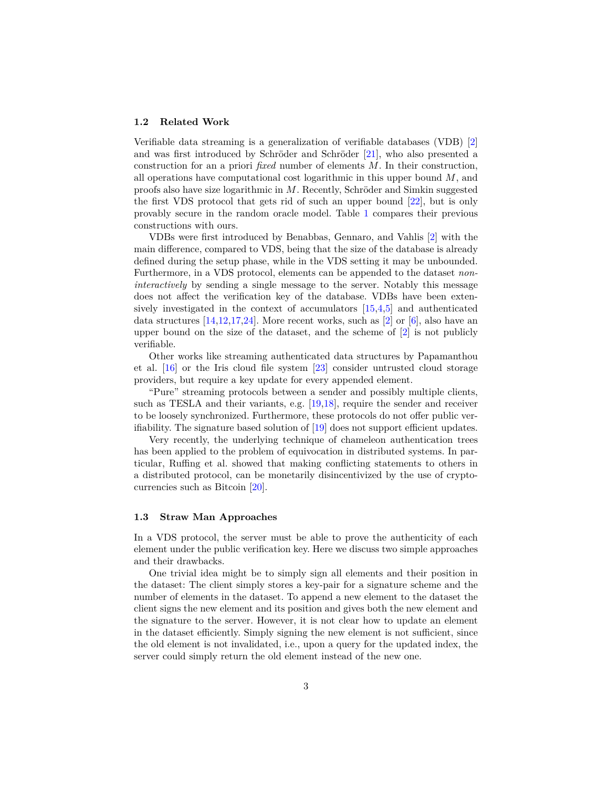#### <span id="page-2-0"></span>**1.2 Related Work**

Verifiable data streaming is a generalization of verifiable databases (VDB) [\[2\]](#page-26-1) and was first introduced by Schröder and Schröder  $[21]$ , who also presented a construction for an a priori *fixed* number of elements *M*. In their construction, all operations have computational cost logarithmic in this upper bound *M*, and proofs also have size logarithmic in *M*. Recently, Schröder and Simkin suggested the first VDS protocol that gets rid of such an upper bound [\[22\]](#page-28-1), but is only provably secure in the random oracle model. Table [1](#page-1-0) compares their previous constructions with ours.

VDBs were first introduced by Benabbas, Gennaro, and Vahlis [\[2\]](#page-26-1) with the main difference, compared to VDS, being that the size of the database is already defined during the setup phase, while in the VDS setting it may be unbounded. Furthermore, in a VDS protocol, elements can be appended to the dataset *noninteractively* by sending a single message to the server. Notably this message does not affect the verification key of the database. VDBs have been extensively investigated in the context of accumulators [\[15,](#page-27-1)[4,](#page-26-2)[5\]](#page-26-3) and authenticated data structures  $[14,12,17,24]$  $[14,12,17,24]$  $[14,12,17,24]$  $[14,12,17,24]$ . More recent works, such as  $[2]$  or  $[6]$ , also have an upper bound on the size of the dataset, and the scheme of [\[2\]](#page-26-1) is not publicly verifiable.

Other works like streaming authenticated data structures by Papamanthou et al. [\[16\]](#page-27-5) or the Iris cloud file system [\[23\]](#page-28-3) consider untrusted cloud storage providers, but require a key update for every appended element.

"Pure" streaming protocols between a sender and possibly multiple clients, such as TESLA and their variants, e.g. [\[19,](#page-27-6)[18\]](#page-27-7), require the sender and receiver to be loosely synchronized. Furthermore, these protocols do not offer public verifiability. The signature based solution of [\[19\]](#page-27-6) does not support efficient updates.

Very recently, the underlying technique of chameleon authentication trees has been applied to the problem of equivocation in distributed systems. In particular, Ruffing et al. showed that making conflicting statements to others in a distributed protocol, can be monetarily disincentivized by the use of cryptocurrencies such as Bitcoin [\[20\]](#page-27-8).

#### **1.3 Straw Man Approaches**

In a VDS protocol, the server must be able to prove the authenticity of each element under the public verification key. Here we discuss two simple approaches and their drawbacks.

One trivial idea might be to simply sign all elements and their position in the dataset: The client simply stores a key-pair for a signature scheme and the number of elements in the dataset. To append a new element to the dataset the client signs the new element and its position and gives both the new element and the signature to the server. However, it is not clear how to update an element in the dataset efficiently. Simply signing the new element is not sufficient, since the old element is not invalidated, i.e., upon a query for the updated index, the server could simply return the old element instead of the new one.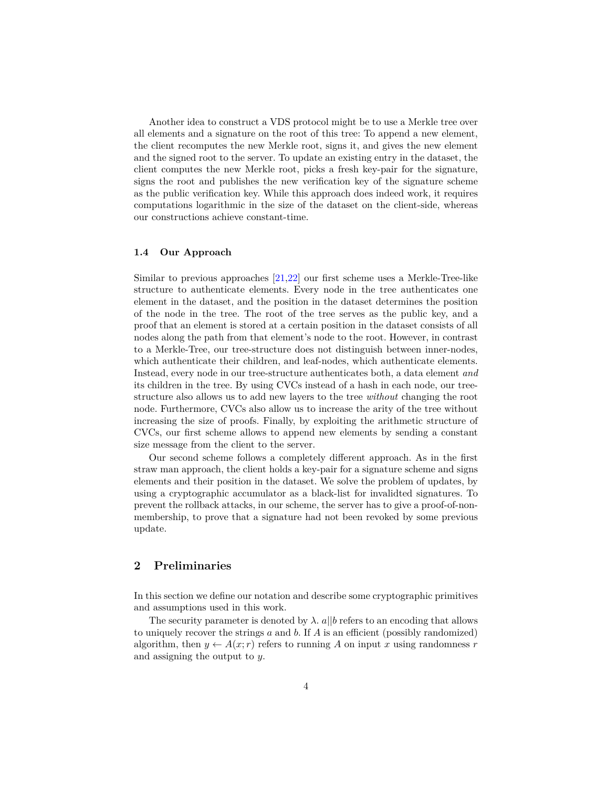Another idea to construct a VDS protocol might be to use a Merkle tree over all elements and a signature on the root of this tree: To append a new element, the client recomputes the new Merkle root, signs it, and gives the new element and the signed root to the server. To update an existing entry in the dataset, the client computes the new Merkle root, picks a fresh key-pair for the signature, signs the root and publishes the new verification key of the signature scheme as the public verification key. While this approach does indeed work, it requires computations logarithmic in the size of the dataset on the client-side, whereas our constructions achieve constant-time.

## <span id="page-3-0"></span>**1.4 Our Approach**

Similar to previous approaches [\[21,](#page-28-0)[22\]](#page-28-1) our first scheme uses a Merkle-Tree-like structure to authenticate elements. Every node in the tree authenticates one element in the dataset, and the position in the dataset determines the position of the node in the tree. The root of the tree serves as the public key, and a proof that an element is stored at a certain position in the dataset consists of all nodes along the path from that element's node to the root. However, in contrast to a Merkle-Tree, our tree-structure does not distinguish between inner-nodes, which authenticate their children, and leaf-nodes, which authenticate elements. Instead, every node in our tree-structure authenticates both, a data element *and* its children in the tree. By using CVCs instead of a hash in each node, our treestructure also allows us to add new layers to the tree *without* changing the root node. Furthermore, CVCs also allow us to increase the arity of the tree without increasing the size of proofs. Finally, by exploiting the arithmetic structure of CVCs, our first scheme allows to append new elements by sending a constant size message from the client to the server.

Our second scheme follows a completely different approach. As in the first straw man approach, the client holds a key-pair for a signature scheme and signs elements and their position in the dataset. We solve the problem of updates, by using a cryptographic accumulator as a black-list for invalidted signatures. To prevent the rollback attacks, in our scheme, the server has to give a proof-of-nonmembership, to prove that a signature had not been revoked by some previous update.

# **2 Preliminaries**

In this section we define our notation and describe some cryptographic primitives and assumptions used in this work.

The security parameter is denoted by  $\lambda$ .  $a||b$  refers to an encoding that allows to uniquely recover the strings *a* and *b*. If *A* is an efficient (possibly randomized) algorithm, then  $y \leftarrow A(x; r)$  refers to running A on input x using randomness r and assigning the output to *y*.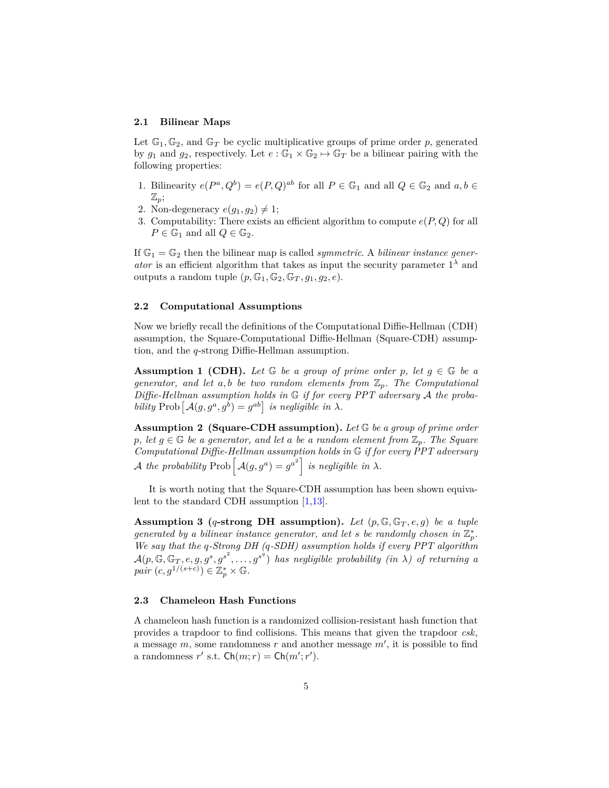#### **2.1 Bilinear Maps**

Let  $\mathbb{G}_1, \mathbb{G}_2$ , and  $\mathbb{G}_T$  be cyclic multiplicative groups of prime order p, generated by  $g_1$  and  $g_2$ , respectively. Let  $e : \mathbb{G}_1 \times \mathbb{G}_2 \mapsto \mathbb{G}_T$  be a bilinear pairing with the following properties:

- 1. Bilinearity  $e(P^a, Q^b) = e(P, Q)^{ab}$  for all  $P \in \mathbb{G}_1$  and all  $Q \in \mathbb{G}_2$  and  $a, b \in \mathbb{G}_2$  $\mathbb{Z}_p$ ;
- 2. Non-degeneracy  $e(g_1, g_2) \neq 1$ ;
- 3. Computability: There exists an efficient algorithm to compute *e*(*P, Q*) for all  $P \in \mathbb{G}_1$  and all  $Q \in \mathbb{G}_2$ .

If  $\mathbb{G}_1 = \mathbb{G}_2$  then the bilinear map is called *symmetric*. A *bilinear instance generator* is an efficient algorithm that takes as input the security parameter  $1^{\lambda}$  and outputs a random tuple  $(p, \mathbb{G}_1, \mathbb{G}_2, \mathbb{G}_T, g_1, g_2, e)$ .

## **2.2 Computational Assumptions**

Now we briefly recall the definitions of the Computational Diffie-Hellman (CDH) assumption, the Square-Computational Diffie-Hellman (Square-CDH) assumption, and the *q*-strong Diffie-Hellman assumption.

**Assumption 1** (CDH). Let  $G$  be a group of prime order p, let  $g \in G$  be a *generator, and let a, b be two random elements from* Z*p. The Computational Diffie-Hellman assumption holds in* G *if for every PPT adversary* A *the probability* Prob $\left[ \mathcal{A}(g, g^a, g^b) = g^{ab} \right]$  *is negligible in*  $\lambda$ *.* 

<span id="page-4-0"></span>**Assumption 2 (Square-CDH assumption).** *Let* G *be a group of prime order*  $p, let g \in \mathbb{G}$  *be a generator, and let a be a random element from*  $\mathbb{Z}_p$ *. The Square Computational Diffie-Hellman assumption holds in* G *if for every PPT adversary* A the probability Prob $\left[\mathcal{A}(g, g^a) = g^{a^2}\right]$  is negligible in  $\lambda$ .

It is worth noting that the Square-CDH assumption has been shown equivalent to the standard CDH assumption [\[1](#page-26-4)[,13\]](#page-27-9).

**Assumption 3** (*q***-strong DH** assumption). Let  $(p, \mathbb{G}, \mathbb{G}_T, e, g)$  be a tuple *generated by a bilinear instance generator, and let s be randomly chosen in*  $\mathbb{Z}_p^*$ . *We say that the q-Strong DH (q-SDH) assumption holds if every PPT algorithm*  $\mathcal{A}(p,\mathbb{G},\mathbb{G}_T,e,g,g^s,g^{s^2},\ldots,g^{s^q})$  has negligible probability (in  $\lambda$ ) of returning a  $pair (c, g^{1/(s+c)}) \in \mathbb{Z}_p^* \times \mathbb{G}.$ 

#### **2.3 Chameleon Hash Functions**

A chameleon hash function is a randomized collision-resistant hash function that provides a trapdoor to find collisions. This means that given the trapdoor *csk*, a message  $m$ , some randomness  $r$  and another message  $m'$ , it is possible to find a randomness  $r'$  s.t.  $\text{Ch}(m;r) = \text{Ch}(m';r').$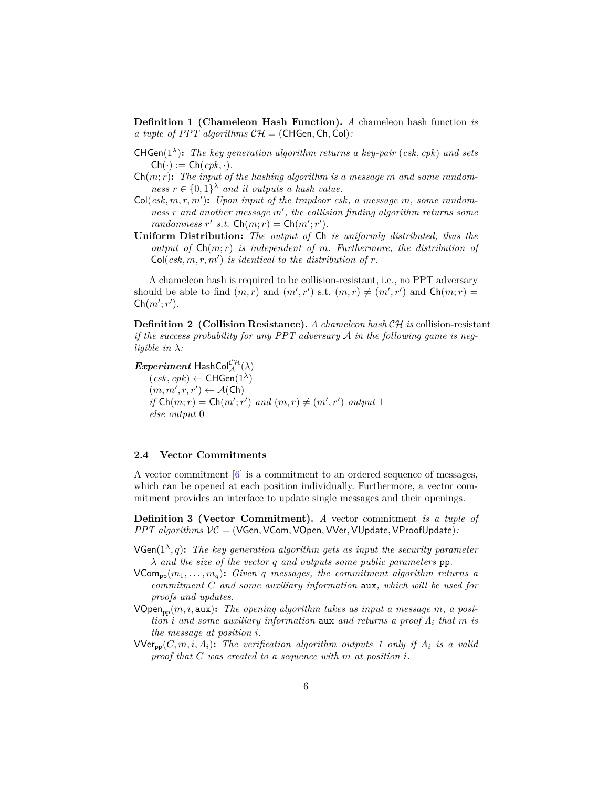**Definition 1 (Chameleon Hash Function).** *A* chameleon hash function *is a tuple of PPT algorithms*  $\mathcal{CH} = (\mathsf{CHGen}, \mathsf{Ch}, \mathsf{Col})$ :

- CHGen(1*<sup>λ</sup>* )**:** *The key generation algorithm returns a key-pair* (*csk, cpk*) *and sets*  $Ch(\cdot) := Ch(cpk, \cdot).$
- $Ch(m;r)$ : The input of the hashing algorithm is a message m and some random*ness*  $r \in \{0,1\}^{\lambda}$  *and it outputs a hash value.*
- $\text{Col}(csk, m, r, m')$ : Upon input of the trapdoor csk, a message m, some random*ness r* and another message m', the collision finding algorithm returns some *randomness*  $r'$  *s.t.*  $\text{Ch}(m; r) = \text{Ch}(m'; r').$
- **Uniform Distribution:** *The output of* Ch *is uniformly distributed, thus the output of* Ch(*m*; *r*) *is independent of m. Furthermore, the distribution of* Col( $csk, m, r, m'$ ) *is identical to the distribution of r.*

A chameleon hash is required to be collision-resistant, i.e., no PPT adversary should be able to find  $(m, r)$  and  $(m', r')$  s.t.  $(m, r) \neq (m', r')$  and  $Ch(m, r) =$  $\mathsf{Ch}(m'; r').$ 

**Definition 2 (Collision Resistance).** *A chameleon hash*  $CH$  *is* collision-resistant *if the success probability for any PPT adversary* A *in the following game is negligible in λ:*

```
Experiment \textsf{HashCol}^{\mathcal{CH}}_{\mathcal{A}}(\lambda)
```
 $(csk, cpk) \leftarrow \text{CHGen}(1^{\lambda})$  $(m, m', r, r') \leftarrow \mathcal{A}(\mathsf{Ch})$ *if*  $\text{Ch}(m; r) = \text{Ch}(m'; r')$  *and*  $(m, r) \neq (m', r')$  *output* 1 *else output* 0

## <span id="page-5-0"></span>**2.4 Vector Commitments**

A vector commitment [\[6\]](#page-26-0) is a commitment to an ordered sequence of messages, which can be opened at each position individually. Furthermore, a vector commitment provides an interface to update single messages and their openings.

**Definition 3 (Vector Commitment).** *A* vector commitment *is a tuple of PPT algorithms* VC = (VGen*,* VCom*,* VOpen*,* VVer*,* VUpdate*,* VProofUpdate)*:*

- $\mathsf{VGen}(1^\lambda, q)$ : The key generation algorithm gets as input the security parameter *λ and the size of the vector q and outputs some public parameters* pp*.*
- $VCom_{\text{pp}}(m_1, \ldots, m_q)$ : *Given q messages, the commitment algorithm returns a commitment C and some auxiliary information* aux*, which will be used for proofs and updates.*
- VOpen<sub>pp</sub> $(m, i, \text{aux})$ : The opening algorithm takes as input a message m, a posi*tion i and some auxiliary information* aux *and returns a proof Λ<sup>i</sup> that m is the message at position i.*
- $VVer_{\text{pp}}(C, m, i, A_i)$ : *The verification algorithm outputs 1 only if*  $A_i$  *is a valid proof that C was created to a sequence with m at position i.*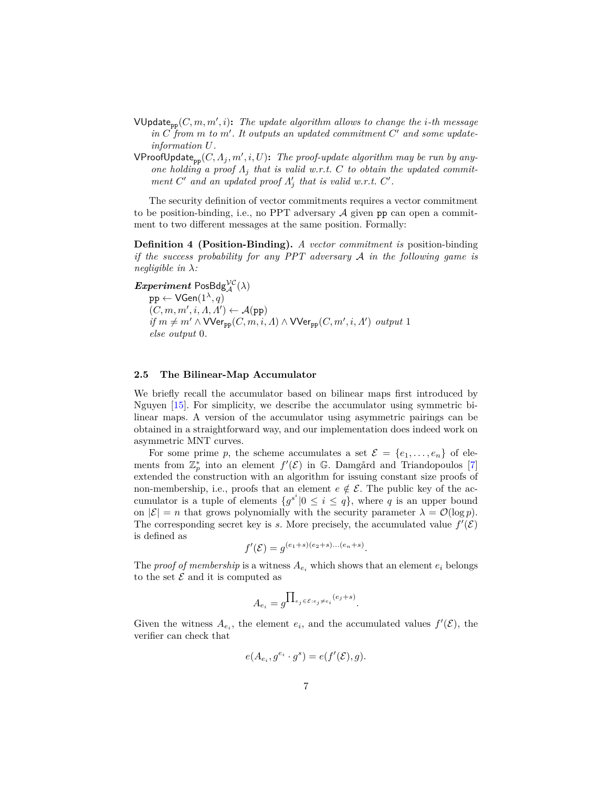- $\mathsf{VUpdate}_{\mathsf{pp}}(C, m, m', i)$ : The update algorithm allows to change the *i*-th message  $\int$  *in*  $\int$  *C*  $\int$  *from m to m*<sup> $\prime$ </sup>. It outputs an updated commitment  $C'$  and some update*information U.*
- $V$ Proof $\mathsf{Update}_{\texttt{pp}}(C, A_j, m', i, U)$ : The proof-update algorithm may be run by any*one holding a proof*  $\Lambda_j$  *that is valid w.r.t.*  $C$  *to obtain the updated commitment*  $C'$  *and an updated proof*  $\Lambda'_{j}$  *that is valid w.r.t.*  $C'$ *.*

The security definition of vector commitments requires a vector commitment to be position-binding, i.e., no PPT adversary  $A$  given pp can open a commitment to two different messages at the same position. Formally:

**Definition 4 (Position-Binding).** *A vector commitment is* position-binding *if the success probability for any PPT adversary* A *in the following game is negligible in λ:*

 $Experiment$   $\mathsf{PosBdg}_{\mathcal{A}}^{\mathcal{VC}}(\lambda)$  $\mathtt{pp}\leftarrow \mathsf{VGen}(1^{\lambda},q)$  $(C, m, m', i, A, A') \leftarrow \mathcal{A}(pp)$  $if m \neq m' \land \textsf{VVer}_{pp}(C, m, i, \Lambda) \land \textsf{VVer}_{pp}(C, m', i, \Lambda')$  *output* 1 *else output* 0*.*

#### <span id="page-6-0"></span>**2.5 The Bilinear-Map Accumulator**

We briefly recall the accumulator based on bilinear maps first introduced by Nguyen [\[15\]](#page-27-1). For simplicity, we describe the accumulator using symmetric bilinear maps. A version of the accumulator using asymmetric pairings can be obtained in a straightforward way, and our implementation does indeed work on asymmetric MNT curves.

For some prime p, the scheme accumulates a set  $\mathcal{E} = \{e_1, \ldots, e_n\}$  of elements from  $\mathbb{Z}_p^*$  into an element  $f'(\mathcal{E})$  in G. Damgård and Triandopoulos [\[7\]](#page-27-10) extended the construction with an algorithm for issuing constant size proofs of non-membership, i.e., proofs that an element  $e \notin \mathcal{E}$ . The public key of the accumulator is a tuple of elements  ${g^{s}}^i | 0 \le i \le q$ , where *q* is an upper bound on  $|\mathcal{E}| = n$  that grows polynomially with the security parameter  $\lambda = \mathcal{O}(\log p)$ . The corresponding secret key is *s*. More precisely, the accumulated value  $f'(\mathcal{E})$ is defined as

$$
f'(\mathcal{E}) = g^{(e_1+s)(e_2+s)\dots(e_n+s)}.
$$

The *proof of membership* is a witness  $A_{e_i}$  which shows that an element  $e_i$  belongs to the set  $\mathcal E$  and it is computed as

$$
A_{e_i} = g^{\prod_{e_j \in \mathcal{E}: e_j \neq e_i} (e_j + s)}.
$$

Given the witness  $A_{e_i}$ , the element  $e_i$ , and the accumulated values  $f'(\mathcal{E})$ , the verifier can check that

$$
e(A_{e_i}, g^{e_i} \cdot g^s) = e(f'(\mathcal{E}), g).
$$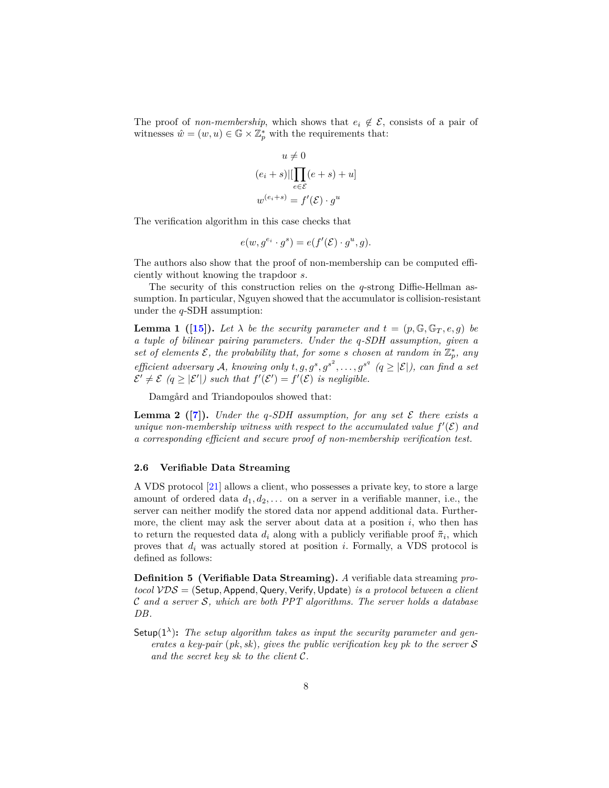The proof of *non-membership*, which shows that  $e_i \notin \mathcal{E}$ , consists of a pair of witnesses  $\hat{w} = (w, u) \in \mathbb{G} \times \mathbb{Z}_p^*$  with the requirements that:

$$
u \neq 0
$$
  

$$
(e_i + s) | \left[ \prod_{e \in \mathcal{E}} (e + s) + u \right]
$$
  

$$
w^{(e_i + s)} = f'(\mathcal{E}) \cdot g^u
$$

The verification algorithm in this case checks that

<span id="page-7-1"></span><span id="page-7-0"></span>
$$
e(w, g^{e_i} \cdot g^s) = e(f'(\mathcal{E}) \cdot g^u, g).
$$

The authors also show that the proof of non-membership can be computed efficiently without knowing the trapdoor *s*.

The security of this construction relies on the *q*-strong Diffie-Hellman assumption. In particular, Nguyen showed that the accumulator is collision-resistant under the *q*-SDH assumption:

**Lemma 1** ([\[15\]](#page-27-1)). Let  $\lambda$  be the security parameter and  $t = (p, \mathbb{G}, \mathbb{G}_T, e, g)$  be *a tuple of bilinear pairing parameters. Under the q-SDH assumption, given a* set of elements  $\mathcal{E}$ , the probability that, for some *s* chosen at random in  $\mathbb{Z}_p^*$ , any *efficient adversary* A, knowing only  $t, g, g^s, g^{s^2}, \ldots, g^{s^q}$   $(q \geq |\mathcal{E}|)$ , can find a set  $\mathcal{E}' \neq \mathcal{E}$  ( $q \geq |\mathcal{E}'|$ ) such that  $f'(\mathcal{E}') = f'(\mathcal{E})$  is negligible.

Damgård and Triandopoulos showed that:

**Lemma 2** ([\[7\]](#page-27-10)). *Under the q-SDH assumption, for any set*  $\mathcal{E}$  *there exists a unique non-membership witness with respect to the accumulated value*  $f'(\mathcal{E})$  and *a corresponding efficient and secure proof of non-membership verification test.*

### <span id="page-7-2"></span>**2.6 Verifiable Data Streaming**

A VDS protocol [\[21\]](#page-28-0) allows a client, who possesses a private key, to store a large amount of ordered data  $d_1, d_2, \ldots$  on a server in a verifiable manner, i.e., the server can neither modify the stored data nor append additional data. Furthermore, the client may ask the server about data at a position  $i$ , who then has to return the requested data  $d_i$  along with a publicly verifiable proof  $\tilde{\pi}_i$ , which proves that *d<sup>i</sup>* was actually stored at position *i*. Formally, a VDS protocol is defined as follows:

**Definition 5 (Verifiable Data Streaming).** *A* verifiable data streaming *protocol* VDS = (Setup*,* Append*,* Query*,* Verify*,*Update) *is a protocol between a client* C *and a server* S*, which are both PPT algorithms. The server holds a database DB.*

Setup( $1^{\lambda}$ ): The setup algorithm takes as input the security parameter and gen*erates a key-pair* (*pk, sk*)*, gives the public verification key pk to the server* S *and the secret key sk to the client* C*.*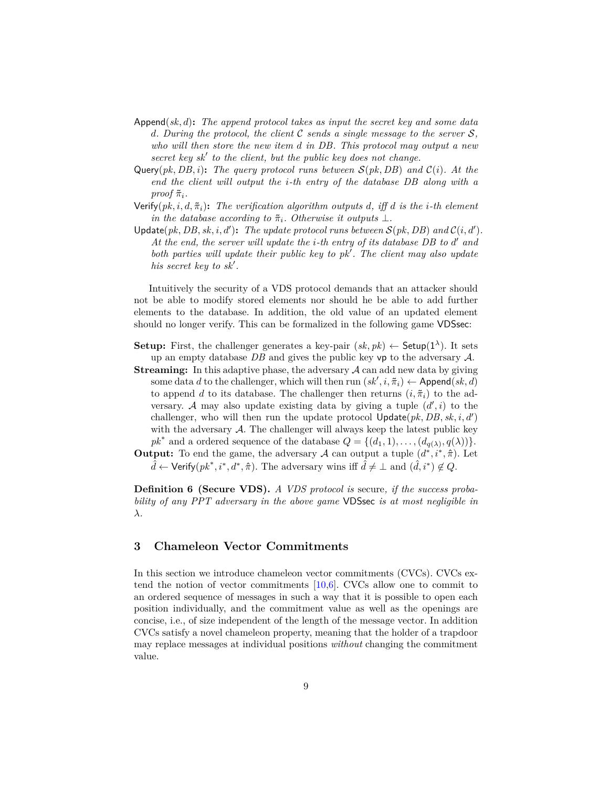- Append(*sk, d*)**:** *The append protocol takes as input the secret key and some data d. During the protocol, the client* C *sends a single message to the server* S*, who will then store the new item d in DB. This protocol may output a new* secret key sk' to the client, but the public key does not change.
- Query( $pk$ *, DB, i*): *The query protocol runs between*  $S(pk, DB)$  *and*  $C(i)$ *. At the end the client will output the i-th entry of the database DB along with a*  $\text{proof } \tilde{\pi}_i$ .
- $\text{Verify}(pk, i, d, \tilde{\pi}_i)$ : The verification algorithm outputs *d*, iff *d* is the *i*-th element *in the database according to*  $\tilde{\pi}_i$ *. Otherwise it outputs*  $\perp$ *.*
- Update( $pk$ *, DB, sk, i, d'*): *The update protocol runs between*  $S(pk, DB)$  *and*  $C(i, d')$ *. At the end, the server will update the i-th entry of its database DB to d* <sup>0</sup> *and* both parties will update their public key to pk<sup>'</sup>. The client may also update  $his$  secret key to  $sk'$ .

Intuitively the security of a VDS protocol demands that an attacker should not be able to modify stored elements nor should he be able to add further elements to the database. In addition, the old value of an updated element should no longer verify. This can be formalized in the following game VDSsec:

- **Setup:** First, the challenger generates a key-pair  $(sk, pk) \leftarrow$  Setup(1<sup> $\lambda$ </sup>). It sets up an empty database *DB* and gives the public key vp to the adversary A.
- **Streaming:** In this adaptive phase, the adversary A can add new data by giving  $\mathbf{A}$  some data *d* to the challenger, which will then run  $({\mathit{sk}}',i,{\tilde{\pi}}_i) \leftarrow \mathsf{Append}({\mathit{sk}},d)$ to append *d* to its database. The challenger then returns  $(i, \tilde{\pi}_i)$  to the adversary. A may also update existing data by giving a tuple  $(d', i)$  to the challenger, who will then run the update protocol  $Update(pk, DB, sk, i, d')$ with the adversary  $A$ . The challenger will always keep the latest public key  $pk^*$  and a ordered sequence of the database  $Q = \{(d_1, 1), \ldots, (d_{q(\lambda)}, q(\lambda))\}.$

**Output:** To end the game, the adversary A can output a tuple  $(d^*, i^*, \hat{\pi})$ . Let  $\hat{d} \leftarrow$  Verify( $pk^*, i^*, d^*, \hat{\pi}$ ). The adversary wins iff  $\hat{d} \neq \perp$  and  $(\hat{d}, i^*) \notin Q$ .

<span id="page-8-0"></span>**Definition 6 (Secure VDS).** *A VDS protocol is* secure*, if the success probability of any PPT adversary in the above game* VDSsec *is at most negligible in λ.*

# <span id="page-8-1"></span>**3 Chameleon Vector Commitments**

In this section we introduce chameleon vector commitments (CVCs). CVCs extend the notion of vector commitments  $[10,6]$  $[10,6]$ . CVCs allow one to commit to an ordered sequence of messages in such a way that it is possible to open each position individually, and the commitment value as well as the openings are concise, i.e., of size independent of the length of the message vector. In addition CVCs satisfy a novel chameleon property, meaning that the holder of a trapdoor may replace messages at individual positions *without* changing the commitment value.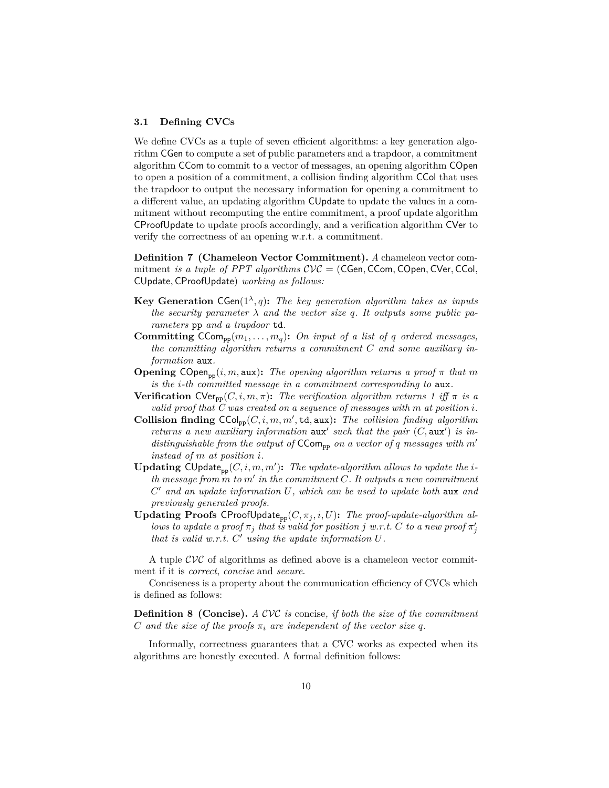#### **3.1 Defining CVCs**

We define CVCs as a tuple of seven efficient algorithms: a key generation algorithm CGen to compute a set of public parameters and a trapdoor, a commitment algorithm CCom to commit to a vector of messages, an opening algorithm COpen to open a position of a commitment, a collision finding algorithm CCol that uses the trapdoor to output the necessary information for opening a commitment to a different value, an updating algorithm CUpdate to update the values in a commitment without recomputing the entire commitment, a proof update algorithm CProofUpdate to update proofs accordingly, and a verification algorithm CVer to verify the correctness of an opening w.r.t. a commitment.

**Definition 7 (Chameleon Vector Commitment).** *A* chameleon vector commitment *is a tuple of PPT algorithms* CVC = (CGen*,* CCom*,* COpen*,* CVer*,* CCol*,* CUpdate*,* CProofUpdate) *working as follows:*

- **Key Generation** CGen $(1^{\lambda}, q)$ : The key generation algorithm takes as inputs *the security parameter*  $\lambda$  *and the vector size q. It outputs some public parameters* pp *and a trapdoor* td*.*
- **Committing**  $\text{Com}_{\text{pp}}(m_1, \ldots, m_q)$ : On input of a list of *q* ordered messages, *the committing algorithm returns a commitment C and some auxiliary information* aux*.*
- **Opening** COpen<sub>pp</sub> $(i, m, \text{aux})$ : *The opening algorithm returns a proof*  $\pi$  *that*  $m$ *is the i-th committed message in a commitment corresponding to* aux*.*
- **Verification**  $\text{CVer}_{\text{pp}}(C, i, m, \pi)$ : *The verification algorithm returns* 1 iff  $\pi$  *is a valid proof that C was created on a sequence of messages with m at position i.*
- Collision finding  $CCol_{pp}(C, i, m, m', \text{td}, \text{aux})$ : *The collision finding algorithm returns a new auxiliary information*  $\text{aux}'$  such that the pair  $(C, \text{aux}')$  is in*distinguishable from the output of*  $CCom_{\text{pp}}$  *on a vector of q messages with*  $m'$ *instead of m at position i.*
- **Updating** CUpdate<sub>pp</sub> $(C, i, m, m')$ : The update-algorithm allows to update the *i*- $$ *C* <sup>0</sup> *and an update information U, which can be used to update both* aux *and previously generated proofs.*
- **Updating Proofs** <code>CProofUpdate<sub>pp</sub> $(C, \pi_j, i, U)$ : *The proof-update-algorithm al-*</code> *lows to update a proof*  $\pi_j$  *that is valid for position j w.r.t. C to a new proof*  $\pi'_j$ *that is valid w.r.t.*  $C'$  *using the update information*  $U$ *.*

A tuple  $\mathcal{CVC}$  of algorithms as defined above is a chameleon vector commitment if it is *correct*, *concise* and *secure*.

<span id="page-9-0"></span>Conciseness is a property about the communication efficiency of CVCs which is defined as follows:

**Definition 8 (Concise).** *A* CVC *is* concise*, if both the size of the commitment C* and the size of the proofs  $\pi_i$  are independent of the vector size q.

Informally, correctness guarantees that a CVC works as expected when its algorithms are honestly executed. A formal definition follows: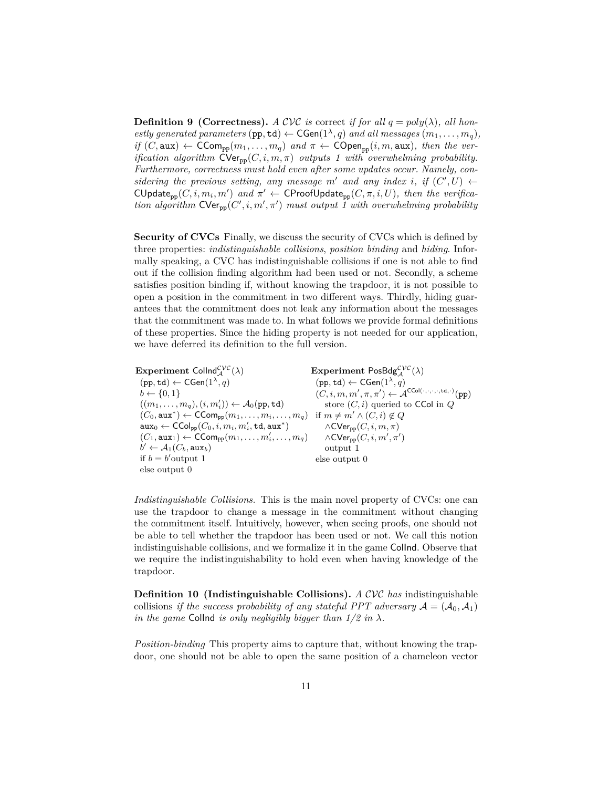**Definition 9** (Correctness). *A CVC is* correct *if for all*  $q = poly(\lambda)$ *, all honestly generated parameters* ( $pp, td$ )  $\leftarrow$  CGen( $1^{\lambda}, q$ ) *and all messages* ( $m_1, \ldots, m_q$ ),  $if (C, aux) \leftarrow \text{CCom}_{pp}(m_1, \ldots, m_q)$  and  $\pi \leftarrow \text{COpen}_{pp}(i, m, aux)$ , then the ver*ification algorithm*  $\mathsf{CVer}_{\mathsf{pp}}(C, i, m, \pi)$  *outputs 1 with overwhelming probability. Furthermore, correctness must hold even after some updates occur. Namely, considering the previous setting, any message*  $m'$  *and any index i, if*  $(C', U) \leftarrow$  $\text{CUpdate}_{\text{pp}}(C, i, m_i, m')$  *and*  $\pi' \leftarrow \text{CProofUpdate}_{\text{pp}}(C, \pi, i, U)$ *, then the verification algorithm*  $CVer_{pp}(C', i, m', \pi')$  *must output* 1 with overwhelming probability

**Security of CVCs** Finally, we discuss the security of CVCs which is defined by three properties: *indistinguishable collisions*, *position binding* and *hiding*. Informally speaking, a CVC has indistinguishable collisions if one is not able to find out if the collision finding algorithm had been used or not. Secondly, a scheme satisfies position binding if, without knowing the trapdoor, it is not possible to open a position in the commitment in two different ways. Thirdly, hiding guarantees that the commitment does not leak any information about the messages that the commitment was made to. In what follows we provide formal definitions of these properties. Since the hiding property is not needed for our application, we have deferred its definition to the full version.

 $\mathbf{Experiment}\; \mathsf{Collnd}_{\mathcal{A}}^{\mathcal{CVC}}(\lambda)$  $(pp,td) \leftarrow \mathsf{CGen}(1^{\lambda},q)$  $b \leftarrow \{0, 1\}$  $((m_1, \ldots, m_q), (i, m'_i)) \leftarrow A_0(\texttt{pp}, \texttt{td})$  $(C_0, \text{aux}^*) \leftarrow \text{CCom}_{\text{pp}}(m_1, \ldots, m_i, \ldots, m_q)$  if  $m \neq m' \wedge (C, i) \notin Q$  $\mathtt{aux}_0 \leftarrow \mathsf{CCol_{pp}}(C_0, \widetilde{i}, m_i, m'_i, \mathtt{td}, \mathtt{aux}^*)$  $(C_1, \text{aux}_1) \leftarrow \text{CCom}_{\text{pp}}(m_1, \ldots, m_i', \ldots, m_q)$  $b' \leftarrow \mathcal{A}_1(C_b, \mathtt{aux}_b)$ if  $b = b'$  output 1 else output 0  $\operatorname{Experiment}$   $\mathsf{PosBdg}_{\mathcal{A}}^{\mathcal{CVC}}(\lambda)$  $(pp,td) \leftarrow \mathsf{CGen}(1^{\lambda},q)$  $(C, i, m, m', \pi, \pi') \leftarrow \mathcal{A}^{\mathsf{CCol}(\cdot, \cdot, \cdot, \cdot, \cdot, \mathsf{td}, \cdot)}(\text{pp})$ store (*C, i*) queried to CCol in *Q*  $\wedge$ CVer<sub>pp</sub> $(C, i, m, \pi)$  $\wedge$ CVer $_{\text{pp}}(C, i, m', \pi')$ output 1 else output 0

*Indistinguishable Collisions.* This is the main novel property of CVCs: one can use the trapdoor to change a message in the commitment without changing the commitment itself. Intuitively, however, when seeing proofs, one should not be able to tell whether the trapdoor has been used or not. We call this notion indistinguishable collisions, and we formalize it in the game ColInd. Observe that we require the indistinguishability to hold even when having knowledge of the trapdoor.

**Definition 10 (Indistinguishable Collisions).** *A* CVC *has* indistinguishable collisions *if the success probability of any stateful PPT adversary*  $\mathcal{A} = (\mathcal{A}_0, \mathcal{A}_1)$ *in the game* Collnd *is only negligibly bigger than*  $1/2$  *in*  $\lambda$ *.* 

*Position-binding* This property aims to capture that, without knowing the trapdoor, one should not be able to open the same position of a chameleon vector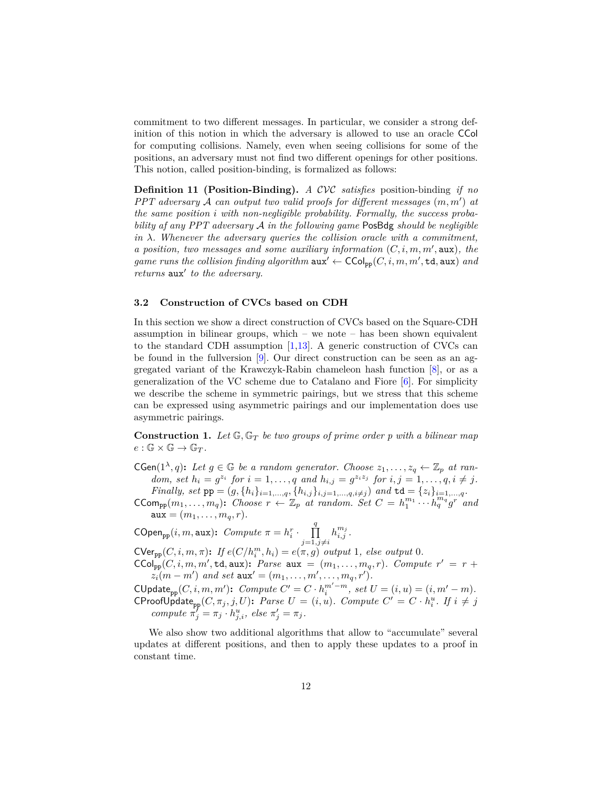commitment to two different messages. In particular, we consider a strong definition of this notion in which the adversary is allowed to use an oracle CCol for computing collisions. Namely, even when seeing collisions for some of the positions, an adversary must not find two different openings for other positions. This notion, called position-binding, is formalized as follows:

**Definition 11 (Position-Binding).** *A* CVC *satisfies* position-binding *if no PPT* adversary A can output two valid proofs for different messages  $(m, m')$  at *the same position i with non-negligible probability. Formally, the success probability af any PPT adversary* A *in the following game* PosBdg *should be negligible in λ. Whenever the adversary queries the collision oracle with a commitment,*  $a$  position, two messages and some auxiliary information  $(C, i, m, m', \text{aux})$ , the *game runs the collision finding algorithm*  $\text{aux}' \leftarrow \text{CCol}_{\text{pp}}(C, i, m, m', \text{td}, \text{aux})$  *and* returns  $aux'$  to the adversary.

### <span id="page-11-1"></span>**3.2 Construction of CVCs based on CDH**

In this section we show a direct construction of CVCs based on the Square-CDH assumption in bilinear groups, which – we note – has been shown equivalent to the standard CDH assumption [\[1](#page-26-4)[,13\]](#page-27-9). A generic construction of CVCs can be found in the fullversion [\[9\]](#page-27-0). Our direct construction can be seen as an aggregated variant of the Krawczyk-Rabin chameleon hash function [\[8\]](#page-27-12), or as a generalization of the VC scheme due to Catalano and Fiore [\[6\]](#page-26-0). For simplicity we describe the scheme in symmetric pairings, but we stress that this scheme can be expressed using asymmetric pairings and our implementation does use asymmetric pairings.

<span id="page-11-0"></span>**Construction 1.** *Let* G*,* G*<sup>T</sup> be two groups of prime order p with a bilinear map*  $e: \mathbb{G} \times \mathbb{G} \to \mathbb{G}_T$ .

- CGen( $1^{\lambda}, q$ ): Let  $g \in \mathbb{G}$  be a random generator. Choose  $z_1, \ldots, z_q \leftarrow \mathbb{Z}_p$  at random, set  $h_i = g^{z_i}$  for  $i = 1, ..., q$  and  $h_{i,j} = g^{z_i z_j}$  for  $i, j = 1, ..., q, i \neq j$ . *Finally, set*  $pp = (g, \{h_i\}_{i=1,\dots,q}, \{h_{i,j}\}_{i,j=1,\dots,q, i \neq j})$  *and*  $td = \{z_i\}_{i=1,\dots,q}$ .
- $\text{CCom}_{\text{pp}}(m_1, \ldots, m_q)$ : *Choose*  $r \leftarrow \mathbb{Z}_p$  *at random. Set*  $C = h_1^{m_1} \cdots h_q^{m_q} g^r$  *and*  $aux = (m_1, \ldots, m_q, r).$

 $\text{COpen}_{\text{pp}}(i, m, \text{aux})$ :  $Compute \pi = h_i^r \cdot \prod_{i=1}^{q}$  $j=1, j\neq i$  $h_{i,j}^{m_j}$ .

 $C\text{Ver}_{\text{PP}}(C, i, m, \pi)$ : If  $e(C/h_i^m, h_i) = e(\pi, g)$  output 1, else output 0.

 $\mathsf{CCol}_{\mathsf{pp}}(C, i, m, m', \mathsf{td}, \mathsf{aux})$ : *Parse*  $\mathsf{aux} = (m_1, \ldots, m_q, r)$ *. Compute*  $r' = r +$  $z_i(m - m')$  *and set*  $aux' = (m_1, \ldots, m', \ldots, m_q, r')$ *.* 

 $\text{CUpdate}_{\text{pp}}(C, i, m, m')$ :  $\text{Compute } C' = C \cdot h_i^{m'-m}, \text{ set } U = (i, u) = (i, m' - m).$  $C$ Proof $\bigcup_{i=1}^{n}$ date<sub>pp</sub> $(C, \pi_j, j, U)$ : *Parse*  $U = (i, u)$ *. Compute*  $C' = C \cdot h_i^u$ *. If*  $i \neq j$ *compute*  $\pi'_j = \pi_j \cdot h_{j,i}^u$ *, else*  $\pi'_j = \pi_j$ *.* 

We also show two additional algorithms that allow to "accumulate" several updates at different positions, and then to apply these updates to a proof in constant time.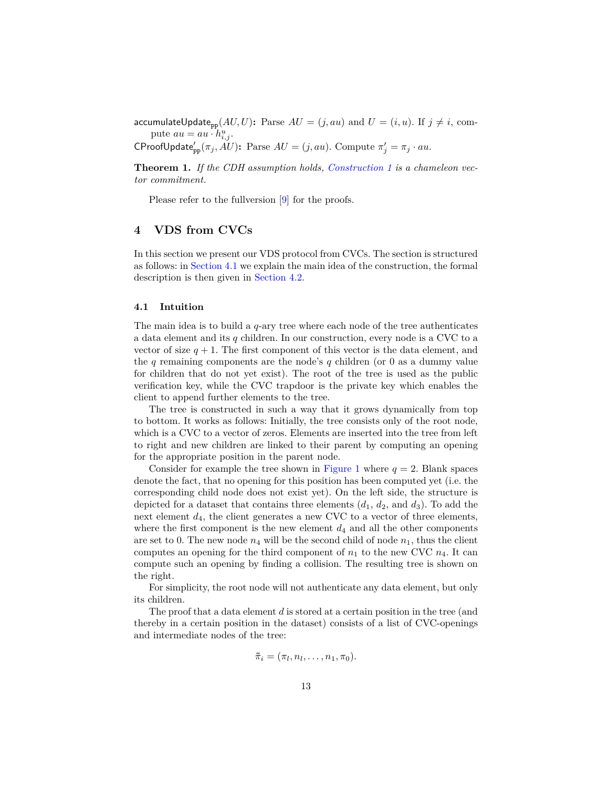accumulateUpdate<sub>pp</sub>(*AU, U*): Parse  $AU = (j, au)$  and  $U = (i, u)$ . If  $j \neq i$ , compute  $au = au \cdot h_{i,j}^u$ .

 $\mathsf{CProofUpdate}_{\mathsf{pp}}^{\prime}(\pi_j, \tilde{AU})$ : Parse  $AU = (j, au)$ . Compute  $\pi'_j = \pi_j \cdot au$ .

<span id="page-12-2"></span>**Theorem 1.** *If the CDH assumption holds, [Construction 1](#page-11-0) is a chameleon vector commitment.*

Please refer to the fullversion [\[9\]](#page-27-0) for the proofs.

# <span id="page-12-0"></span>**4 VDS from CVCs**

In this section we present our VDS protocol from CVCs. The section is structured as follows: in [Section 4.1](#page-12-1) we explain the main idea of the construction, the formal description is then given in [Section 4.2.](#page-14-0)

## <span id="page-12-1"></span>**4.1 Intuition**

The main idea is to build a *q*-ary tree where each node of the tree authenticates a data element and its *q* children. In our construction, every node is a CVC to a vector of size  $q + 1$ . The first component of this vector is the data element, and the *q* remaining components are the node's *q* children (or 0 as a dummy value for children that do not yet exist). The root of the tree is used as the public verification key, while the CVC trapdoor is the private key which enables the client to append further elements to the tree.

The tree is constructed in such a way that it grows dynamically from top to bottom. It works as follows: Initially, the tree consists only of the root node, which is a CVC to a vector of zeros. Elements are inserted into the tree from left to right and new children are linked to their parent by computing an opening for the appropriate position in the parent node.

Consider for example the tree shown in [Figure 1](#page-13-0) where  $q = 2$ . Blank spaces denote the fact, that no opening for this position has been computed yet (i.e. the corresponding child node does not exist yet). On the left side, the structure is depicted for a dataset that contains three elements  $(d_1, d_2, \text{ and } d_3)$ . To add the next element  $d_4$ , the client generates a new CVC to a vector of three elements, where the first component is the new element  $d_4$  and all the other components are set to 0. The new node  $n_4$  will be the second child of node  $n_1$ , thus the client computes an opening for the third component of  $n_1$  to the new CVC  $n_4$ . It can compute such an opening by finding a collision. The resulting tree is shown on the right.

For simplicity, the root node will not authenticate any data element, but only its children.

The proof that a data element *d* is stored at a certain position in the tree (and thereby in a certain position in the dataset) consists of a list of CVC-openings and intermediate nodes of the tree:

$$
\tilde{\pi}_i = (\pi_l, n_l, \ldots, n_1, \pi_0).
$$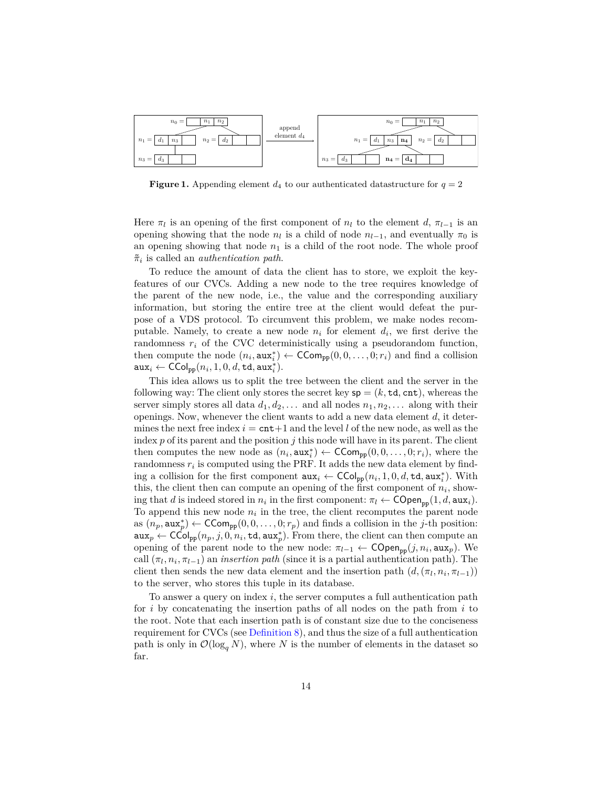

<span id="page-13-0"></span>**Figure 1.** Appending element  $d_4$  to our authenticated datastructure for  $q = 2$ 

Here  $\pi_l$  is an opening of the first component of  $n_l$  to the element *d*,  $\pi_{l-1}$  is an opening showing that the node  $n_l$  is a child of node  $n_{l-1}$ , and eventually  $\pi_0$  is an opening showing that node  $n_1$  is a child of the root node. The whole proof *π*˜*i* is called an *authentication path*.

To reduce the amount of data the client has to store, we exploit the keyfeatures of our CVCs. Adding a new node to the tree requires knowledge of the parent of the new node, i.e., the value and the corresponding auxiliary information, but storing the entire tree at the client would defeat the purpose of a VDS protocol. To circumvent this problem, we make nodes recomputable. Namely, to create a new node  $n_i$  for element  $d_i$ , we first derive the randomness  $r_i$  of the CVC deterministically using a pseudorandom function, then compute the node  $(n_i, \text{aux}_i^*) \leftarrow \text{CCom}_{\text{pp}}(0, 0, \ldots, 0; r_i)$  and find a collision  $\texttt{aux}_i \leftarrow \textsf{CCol}_{\texttt{pp}}(n_i, 1, 0, d, \texttt{td}, \texttt{aux}_i^*)$ .

This idea allows us to split the tree between the client and the server in the following way: The client only stores the secret key  $sp = (k, td, cnt)$ , whereas the server simply stores all data  $d_1, d_2, \ldots$  and all nodes  $n_1, n_2, \ldots$  along with their openings. Now, whenever the client wants to add a new data element *d*, it determines the next free index  $i = \text{cnt}+1$  and the level l of the new node, as well as the index *p* of its parent and the position *j* this node will have in its parent. The client then computes the new node as  $(n_i, \text{aux}_i^*) \leftarrow \text{CCom}_{\text{pp}}(0, 0, \ldots, 0; r_i)$ , where the randomness  $r_i$  is computed using the PRF. It adds the new data element by finding a collision for the first component  $aux_i \leftarrow \text{CCol}_{\text{pp}}(n_i, 1, 0, d, \text{td}, aux_i^*)$ . With this, the client then can compute an opening of the first component of  $n_i$ , showing that *d* is indeed stored in  $n_i$  in the first component:  $\pi_l \leftarrow \text{COpen}_{\text{pp}}(1, d, \text{aux}_i)$ . To append this new node  $n_i$  in the tree, the client recomputes the parent node as  $(n_p, \text{aux}_p^*) \leftarrow \text{CCom}_{\text{pp}}(0, 0, \ldots, 0; r_p)$  and finds a collision in the *j*-th position:  $\text{aux}_p \leftarrow \text{CCol}_{\text{pp}}(n_p, j, 0, n_i, \text{td}, \text{aux}_p^*)$ . From there, the client can then compute an opening of the parent node to the new node:  $\pi_{l-1} \leftarrow \text{COpen}_{\text{pp}}(j, n_i, \text{aux}_p)$ . We call  $(\pi_l, n_i, \pi_{l-1})$  an *insertion path* (since it is a partial authentication path). The client then sends the new data element and the insertion path  $(d, (\pi_l, n_i, \pi_{l-1}))$ to the server, who stores this tuple in its database.

To answer a query on index *i*, the server computes a full authentication path for *i* by concatenating the insertion paths of all nodes on the path from *i* to the root. Note that each insertion path is of constant size due to the conciseness requirement for CVCs (see [Definition 8\)](#page-9-0), and thus the size of a full authentication path is only in  $\mathcal{O}(\log_a N)$ , where *N* is the number of elements in the dataset so far.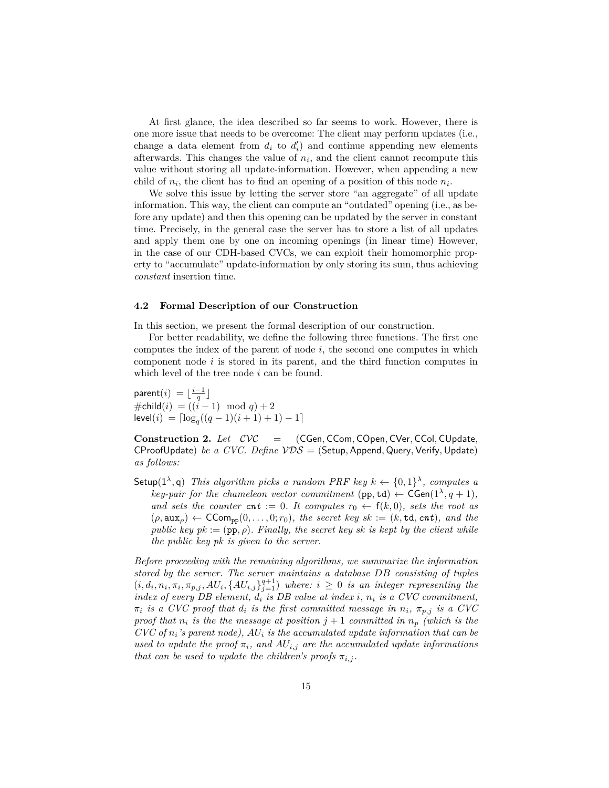At first glance, the idea described so far seems to work. However, there is one more issue that needs to be overcome: The client may perform updates (i.e., change a data element from  $d_i$  to  $d'_i$ ) and continue appending new elements afterwards. This changes the value of *n<sup>i</sup>* , and the client cannot recompute this value without storing all update-information. However, when appending a new child of  $n_i$ , the client has to find an opening of a position of this node  $n_i$ .

We solve this issue by letting the server store "an aggregate" of all update information. This way, the client can compute an "outdated" opening (i.e., as before any update) and then this opening can be updated by the server in constant time. Precisely, in the general case the server has to store a list of all updates and apply them one by one on incoming openings (in linear time) However, in the case of our CDH-based CVCs, we can exploit their homomorphic property to "accumulate" update-information by only storing its sum, thus achieving *constant* insertion time.

## <span id="page-14-0"></span>**4.2 Formal Description of our Construction**

In this section, we present the formal description of our construction.

For better readability, we define the following three functions. The first one computes the index of the parent of node *i*, the second one computes in which component node *i* is stored in its parent, and the third function computes in which level of the tree node *i* can be found.

 $\mathsf{parent}(i) = \lfloor \frac{i-1}{q} \rfloor$  $\#\text{child}(i) = ((i-1) \mod q) + 2$  $\text{level}(i) = \lceil \log_q((q-1)(i+1) + 1) - 1 \rceil$ 

<span id="page-14-1"></span>**Construction 2.** *Let* CVC = (CGen*,* CCom*,* COpen*,* CVer*,* CCol*,* CUpdate*,* CProofUpdate) *be a CVC. Define* VDS = (Setup*,* Append*,* Query*,* Verify*,*Update) *as follows:*

Setup( $1^{\lambda}$ , q) *This algorithm picks a random PRF key*  $k \leftarrow \{0,1\}^{\lambda}$ , *computes a key-pair for the chameleon vector commitment*  $(pp, td) \leftarrow CGen(1^{\lambda}, q+1)$ , *and sets the counter*  $\text{cnt} := 0$ *. It computes*  $r_0 \leftarrow f(k, 0)$ *, sets the root as*  $(\rho, \text{aux}_{\rho}) \leftarrow \text{CCom}_{\text{pp}}(0, \ldots, 0; r_0)$ , the secret key sk := (k, td, cnt), and the *public key pk* := (pp,  $\rho$ ). Finally, the secret key sk is kept by the client while *the public key pk is given to the server.*

*Before proceeding with the remaining algorithms, we summarize the information stored by the server. The server maintains a database DB consisting of tuples*  $(i, d_i, n_i, \pi_i, \pi_{p,j}, AU_i, \{AU_{i,j}\}_{j=1}^{q+1})$  where:  $i \geq 0$  *is an integer representing the index of every DB element, d<sup>i</sup> is DB value at index i, n<sup>i</sup> is a CVC commitment,*  $\pi_i$  *is a CVC proof that*  $d_i$  *is the first committed message in*  $n_i$ ,  $\pi_{p,j}$  *is a CVC proof that*  $n_i$  *is the the message at position*  $j + 1$  *committed in*  $n_p$  *(which is the*  $CVC$  of  $n_i$ 's parent node),  $AU_i$  is the accumulated update information that can be *used to update the proof*  $\pi$ *<sub><i>i*</sub>, and  $AU$ <sub>*i*</sub><sup>*j*</sup> are the accumulated update informations *that can be used to update the children's proofs*  $\pi_{i,j}$ .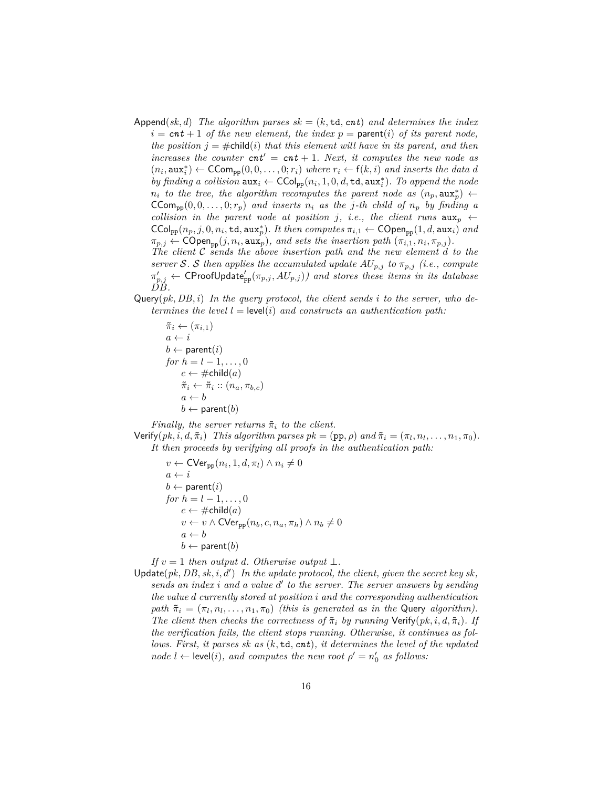Append( $sk, d$ ) The algorithm parses  $sk = (k, \texttt{td}, \texttt{cnt})$  and determines the index  $i = \text{cnt} + 1$  *of the new element, the index*  $p = \text{parent}(i)$  *of its parent node, the position*  $j = #$ child $(i)$  *that this element will have in its parent, and then increases the counter*  $\text{cn}t' = \text{cn}t + 1$ *. Next, it computes the new node as*  $(n_i, \text{aux}_i^*) \leftarrow \text{CCom}_{\text{pp}}(0, 0, \ldots, 0; r_i)$  where  $r_i \leftarrow f(k, i)$  and inserts the data d *by finding a collision*  $aux_i \leftarrow CCol_{\text{pp}}(n_i, 1, 0, d, \text{td}, aux_i^*)$ . To append the node *n<sub>i</sub> to the tree, the algorithm recomputes the parent node as*  $(n_p, \text{aux}_p^*) \leftarrow$  $CCom_{pp}(0,0,\ldots,0;r_p)$  *and inserts*  $n_i$  *as the j-th child of*  $n_p$  *by finding a collision in the parent node at position j, i.e., the client runs*  $\text{aux}_p \leftarrow$  $\mathsf{CCol}_{\mathsf{pp}}(n_p, j, 0, n_i, \mathsf{td}, \mathsf{aux}_p^*)$ . It then computes  $\pi_{i,1} \leftarrow \mathsf{COpen}_{\mathsf{pp}}(1, d, \mathsf{aux}_i)$  and  $\pi_{p,j} \leftarrow \text{COpen}_{\text{pp}}(j, n_i, \text{aux}_p)$ , and sets the insertion path  $(\pi_{i,1}, n_i, \pi_{p,j})$ .

*The client* C *sends the above insertion path and the new element d to the server* S. S then applies the accumulated update  $AU_{p,j}$  to  $\pi_{p,j}$  (i.e., compute  $\pi'_{p,j} \leftarrow$  CProofUpdate $'_{\text{pp}}(\pi_{p,j}, AU_{p,j})$  and stores these items in its database *DB.*

Query(*pk, DB, i*) *In the query protocol, the client sends i to the server, who determines the level*  $l = \text{level}(i)$  *and constructs an authentication path:* 

 $\tilde{\pi}_i \leftarrow (\pi_{i,1})$  $a \leftarrow i$  $b \leftarrow$  parent $(i)$ *for*  $h = l - 1, \ldots, 0$  $c \leftarrow \#child(a)$  $\tilde{\pi}_i \leftarrow \tilde{\pi}_i :: (n_a, \pi_{b,c})$  $a \leftarrow b$  $b \leftarrow$  parent $(b)$ 

*Finally, the server returns*  $\tilde{\pi}_i$  *to the client.* 

 $\mathsf{Verify}(pk, i, d, \tilde{\pi}_i)$  *This algorithm parses*  $pk = (\mathsf{pp}, \rho)$  *and*  $\tilde{\pi}_i = (\pi_l, n_l, \ldots, n_1, \pi_0)$ *. It then proceeds by verifying all proofs in the authentication path:*

 $v \leftarrow \mathsf{CVer}_{\mathsf{pp}}(n_i, 1, d, \pi_l) \wedge n_i \neq 0$  $a \leftarrow i$  $b \leftarrow$  parent $(i)$ *for*  $h = l - 1, \ldots, 0$  $c \leftarrow \#child(a)$  $v \leftarrow v \land \text{CVer}_{\text{pp}}(n_b, c, n_a, \pi_h) \land n_b \neq 0$  $a \leftarrow b$  $b \leftarrow$  parent $(b)$ 

*If*  $v = 1$  *then output d. Otherwise output*  $\perp$ *.* 

Update( $pk$ ,  $DB$ ,  $sk$ ,  $i$ ,  $d'$ ) In the update protocol, the client, given the secret key  $sk$ , *sends an index i and a value d* 0 *to the server. The server answers by sending the value d currently stored at position i and the corresponding authentication path*  $\tilde{\pi}_i = (\pi_l, n_l, \ldots, n_1, \pi_0)$  *(this is generated as in the* Query *algorithm). The client then checks the correctness of*  $\tilde{\pi}_i$  *by running* Verify( $pk$ , *i*, *d*,  $\tilde{\pi}_i$ ). If *the verification fails, the client stops running. Otherwise, it continues as follows. First, it parses sk as* (*k,* td*, cnt*)*, it determines the level of the updated node*  $l \leftarrow$  level(*i*)*,* and computes the new root  $\rho' = n'_0$  as follows: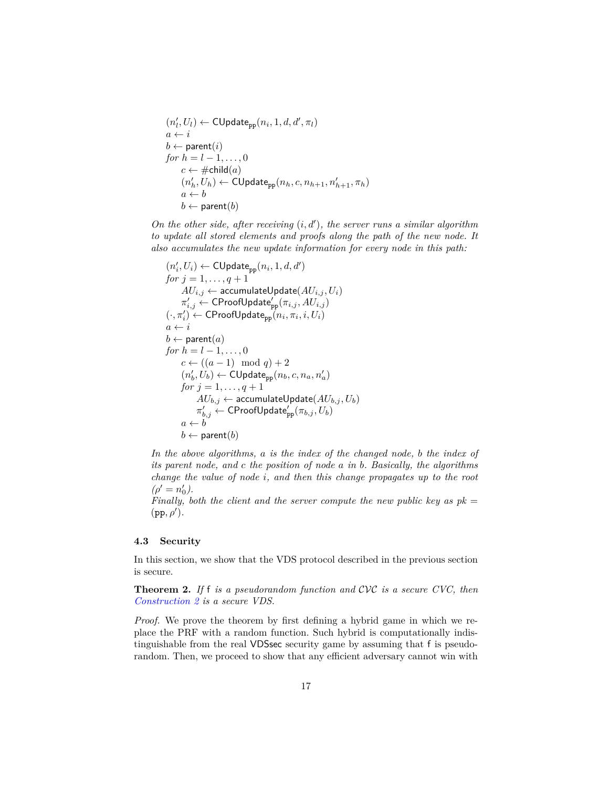$$
(n'_l, U_l) \leftarrow \text{CUpdate}_{\text{pp}}(n_i, 1, d, d', \pi_l)
$$
\n
$$
a \leftarrow i
$$
\n
$$
b \leftarrow \text{parent}(i)
$$
\n
$$
for \ h = l - 1, ..., 0
$$
\n
$$
c \leftarrow \# \text{child}(a)
$$
\n
$$
(n'_h, U_h) \leftarrow \text{CUpdate}_{\text{pp}}(n_h, c, n_{h+1}, n'_{h+1}, \pi_h)
$$
\n
$$
a \leftarrow b
$$
\n
$$
b \leftarrow \text{parent}(b)
$$

On the other side, after receiving  $(i, d')$ , the server runs a similar algorithm *to update all stored elements and proofs along the path of the new node. It also accumulates the new update information for every node in this path:*

```
(n'_i, U_i) \leftarrow \text{CUpdate}_{\text{pp}}(n_i, 1, d, d')for j = 1, ..., q + 1AU_{i,j} \leftarrow accumulateUpdate(AU_{i,j}, U_i)\pi'_{i,j} \gets \mathsf{CProofUpdate}'_{\mathsf{pp}}(\pi_{i,j}, AU_{i,j}^{\pi_{i}})\left(\cdot,\pi'_i\right) \leftarrow \mathsf{CProofUpdate}_{\mathsf{pp}}(n_i,\pi_i,i,U_i)a \leftarrow ib \leftarrow parent(a)for h = l - 1, \ldots, 0c \leftarrow ((a-1) \mod q) + 2(n'_b, U_b) \leftarrow \textsf{CUpdate}_{\textsf{pp}}(n_b, c, n_a, n'_a)for j = 1, ..., q + 1AU_{b,j} \leftarrow accumulateUpdate(AU_{b,j}, U_b)\pi'_{b,j} \leftarrow \mathsf{CProofUpdate}'_{\mathsf{pp}}(\pi_{b,j}, U_b)a \leftarrow bb \leftarrow parent(b)
```
*In the above algorithms, a is the index of the changed node, b the index of its parent node, and c the position of node a in b. Basically, the algorithms change the value of node i, and then this change propagates up to the root*  $(\rho' = n'_0).$ 

*Finally, both the client and the server compute the new public key as*  $pk =$  $(pp, \rho').$ 

### **4.3 Security**

In this section, we show that the VDS protocol described in the previous section is secure.

**Theorem 2.** *If* f *is a pseudorandom function and* CVC *is a secure CVC, then [Construction 2](#page-14-1) is a secure VDS.*

*Proof.* We prove the theorem by first defining a hybrid game in which we replace the PRF with a random function. Such hybrid is computationally indistinguishable from the real VDSsec security game by assuming that f is pseudorandom. Then, we proceed to show that any efficient adversary cannot win with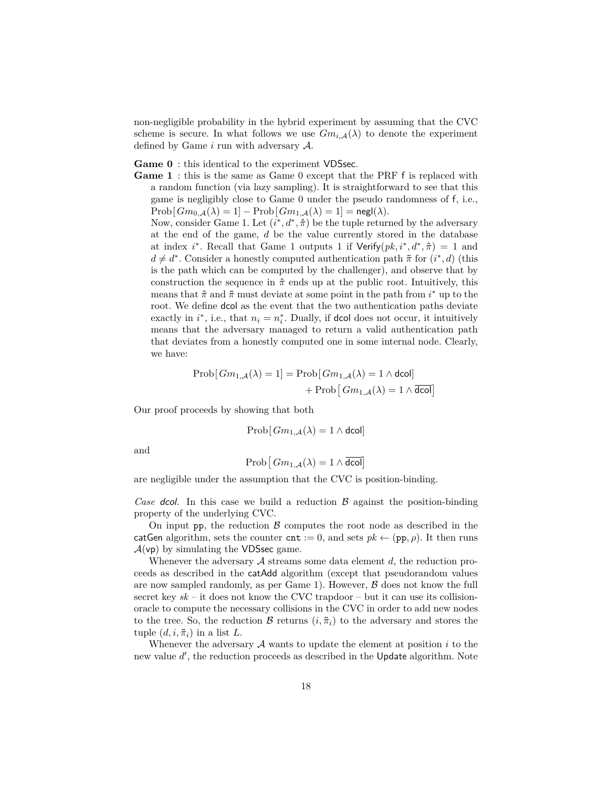non-negligible probability in the hybrid experiment by assuming that the CVC scheme is secure. In what follows we use  $Gm_{i,\mathcal{A}}(\lambda)$  to denote the experiment defined by Game *i* run with adversary A.

**Game 0** : this identical to the experiment VDSsec.

**Game 1** : this is the same as Game 0 except that the PRF f is replaced with a random function (via lazy sampling). It is straightforward to see that this game is negligibly close to Game 0 under the pseudo randomness of f, i.e.,  $Prob[Gm_{0,\mathcal{A}}(\lambda) = 1] - Prob[Gm_{1,\mathcal{A}}(\lambda) = 1] = negl(\lambda).$ 

Now, consider Game 1. Let  $(i^*, d^*, \hat{\pi})$  be the tuple returned by the adversary at the end of the game, *d* be the value currently stored in the database at index *i*<sup>\*</sup>. Recall that Game 1 outputs 1 if  $Verify(pk, i^*, d^*, \hat{\pi}) = 1$  and  $d \neq d^*$ . Consider a honestly computed authentication path  $\tilde{\pi}$  for  $(i^*, d)$  (this is the path which can be computed by the challenger), and observe that by construction the sequence in  $\hat{\pi}$  ends up at the public root. Intuitively, this means that  $\hat{\pi}$  and  $\tilde{\pi}$  must deviate at some point in the path from *i*<sup>∗</sup> up to the root. We define dcol as the event that the two authentication paths deviate exactly in  $i^*$ , i.e., that  $n_i = n_i^*$ . Dually, if dcol does not occur, it intuitively means that the adversary managed to return a valid authentication path that deviates from a honestly computed one in some internal node. Clearly, we have:

$$
Prob[Gm_{1,\mathcal{A}}(\lambda) = 1] = Prob[Gm_{1,\mathcal{A}}(\lambda) = 1 \land \text{dcol}]
$$

$$
+ Prob[Gm_{1,\mathcal{A}}(\lambda) = 1 \land \text{dcol}]
$$

Our proof proceeds by showing that both

$$
Prob[Gm_{1,\mathcal{A}}(\lambda) = 1 \wedge \text{dcol}]
$$

and

$$
Prob[Gm_{1,\mathcal{A}}(\lambda) = 1 \wedge \overline{\text{dcol}}]
$$

are negligible under the assumption that the CVC is position-binding.

*Case* dcol. In this case we build a reduction  $\beta$  against the position-binding property of the underlying CVC.

On input pp, the reduction  $\beta$  computes the root node as described in the catGen algorithm, sets the counter cnt := 0, and sets  $pk \leftarrow (pp, \rho)$ . It then runs  $\mathcal{A}(vp)$  by simulating the VDSsec game.

Whenever the adversary A streams some data element *d*, the reduction proceeds as described in the catAdd algorithm (except that pseudorandom values are now sampled randomly, as per Game 1). However,  $\beta$  does not know the full secret key  $sk$  – it does not know the CVC trapdoor – but it can use its collisionoracle to compute the necessary collisions in the CVC in order to add new nodes to the tree. So, the reduction B returns  $(i, \tilde{\pi}_i)$  to the adversary and stores the tuple  $(d, i, \tilde{\pi}_i)$  in a list L.

Whenever the adversary  $A$  wants to update the element at position  $i$  to the new value d', the reduction proceeds as described in the Update algorithm. Note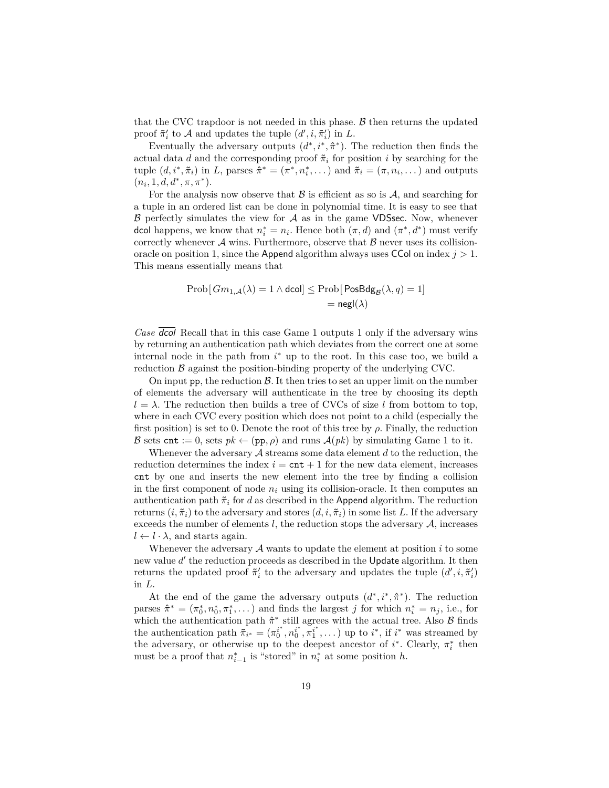that the CVC trapdoor is not needed in this phase.  $\beta$  then returns the updated proof  $\tilde{\pi}'_i$  to A and updates the tuple  $(d', i, \tilde{\pi}'_i)$  in L.

Eventually the adversary outputs  $(d^*, i^*, \hat{\pi}^*)$ . The reduction then finds the actual data *d* and the corresponding proof  $\tilde{\pi}_i$  for position *i* by searching for the tuple  $(d, i^*, \tilde{\pi}_i)$  in *L*, parses  $\hat{\pi}^* = (\pi^*, n_i^*, \dots)$  and  $\tilde{\pi}_i = (\pi, n_i, \dots)$  and outputs  $(n_i, 1, d, d^*, \pi, \pi^*)$ .

For the analysis now observe that  $\beta$  is efficient as so is  $\mathcal{A}$ , and searching for a tuple in an ordered list can be done in polynomial time. It is easy to see that  $\beta$  perfectly simulates the view for  $\mathcal A$  as in the game VDSsec. Now, whenever dcol happens, we know that  $n_i^* = n_i$ . Hence both  $(\pi, d)$  and  $(\pi^*, d^*)$  must verify correctly whenever  $A$  wins. Furthermore, observe that  $B$  never uses its collisionoracle on position 1, since the Append algorithm always uses CCol on index *j >* 1. This means essentially means that

$$
Prob[Gm_{1,\mathcal{A}}(\lambda) = 1 \land \text{dcol}] \leq Prob[PosBdg_{\mathcal{B}}(\lambda, q) = 1]
$$

$$
= negl(\lambda)
$$

*Case* dcol Recall that in this case Game 1 outputs 1 only if the adversary wins by returning an authentication path which deviates from the correct one at some internal node in the path from *i* <sup>∗</sup> up to the root. In this case too, we build a reduction B against the position-binding property of the underlying CVC.

On input pp, the reduction  $\mathcal{B}$ . It then tries to set an upper limit on the number of elements the adversary will authenticate in the tree by choosing its depth  $l = \lambda$ . The reduction then builds a tree of CVCs of size *l* from bottom to top, where in each CVC every position which does not point to a child (especially the first position) is set to 0. Denote the root of this tree by *ρ*. Finally, the reduction B sets cnt := 0, sets  $pk \leftarrow (pp, \rho)$  and runs  $\mathcal{A}(pk)$  by simulating Game 1 to it.

Whenever the adversary  $A$  streams some data element  $d$  to the reduction, the reduction determines the index  $i = \text{cnt} + 1$  for the new data element, increases cnt by one and inserts the new element into the tree by finding a collision in the first component of node  $n_i$  using its collision-oracle. It then computes an authentication path  $\tilde{\pi}$ <sup>*i*</sup> for *d* as described in the Append algorithm. The reduction returns  $(i, \tilde{\pi}_i)$  to the adversary and stores  $(d, i, \tilde{\pi}_i)$  in some list L. If the adversary exceeds the number of elements  $l$ , the reduction stops the adversary  $A$ , increases  $l \leftarrow l \cdot \lambda$ , and starts again.

Whenever the adversary A wants to update the element at position *i* to some new value d' the reduction proceeds as described in the Update algorithm. It then returns the updated proof  $\tilde{\pi}'_i$  to the adversary and updates the tuple  $(d', i, \tilde{\pi}'_i)$ in *L*.

At the end of the game the adversary outputs  $(d^*, i^*, \hat{\pi}^*)$ . The reduction parses  $\hat{\pi}^* = (\pi_0^*, n_0^*, \pi_1^*, \dots)$  and finds the largest *j* for which  $n_i^* = n_j$ , i.e., for which the authentication path  $\hat{\pi}^*$  still agrees with the actual tree. Also  $\beta$  finds the authentication path  $\tilde{\pi}_{i^*} = (\pi_0^{i^*}, n_0^{i^*}, \pi_1^{i^*}, \dots)$  up to  $i^*$ , if  $i^*$  was streamed by the adversary, or otherwise up to the deepest ancestor of  $i^*$ . Clearly,  $\pi_i^*$  then must be a proof that  $n_{i-1}^*$  is "stored" in  $n_i^*$  at some position h.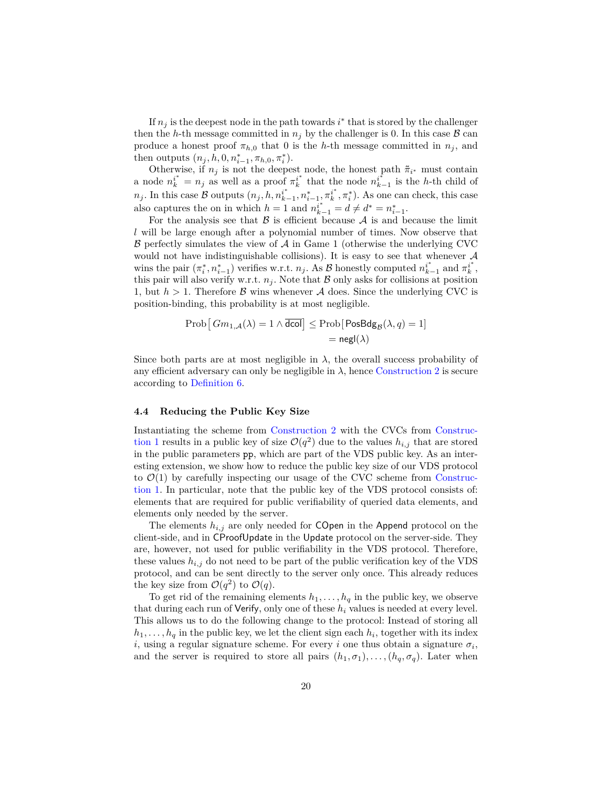If  $n_j$  is the deepest node in the path towards  $i^*$  that is stored by the challenger then the *h*-th message committed in  $n_j$  by the challenger is 0. In this case  $\beta$  can produce a honest proof  $\pi_{h,0}$  that 0 is the *h*-th message committed in  $n_j$ , and then outputs  $(n_j, h, 0, n_{i-1}^*, \pi_{h,0}, \pi_i^*)$ .

Otherwise, if  $n_j$  is not the deepest node, the honest path  $\tilde{\pi}_{i^*}$  must contain a node  $n_k^{i^*} = n_j$  as well as a proof  $\pi_k^{i^*}$  that the node  $n_{k-1}^{i^*}$  is the *h*-th child of *n*<sub>*j*</sub>. In this case B outputs  $(n_j, h, n_{k-1}^{i^*}, n_{i-1}^*, \pi_k^{i^*}, \pi_i^* )$ . As one can check, this case also captures the on in which  $h = 1$  and  $n_{k-1}^{i^*} = d \neq d^* = n_{i-1}^*$ .

For the analysis see that  $\beta$  is efficient because  $\mathcal A$  is and because the limit *l* will be large enough after a polynomial number of times. Now observe that  $\beta$  perfectly simulates the view of  $\mathcal A$  in Game 1 (otherwise the underlying CVC would not have indistinguishable collisions). It is easy to see that whenever  $A$ wins the pair  $(\pi_i^*, n_{i-1}^*)$  verifies w.r.t.  $n_j$ . As B honestly computed  $n_{k-1}^{i^*}$  and  $\pi_k^{i^*}$ , this pair will also verify w.r.t.  $n_j$ . Note that  $\beta$  only asks for collisions at position 1, but  $h > 1$ . Therefore B wins whenever A does. Since the underlying CVC is position-binding, this probability is at most negligible.

$$
\text{Prob}\left[ Gm_{1,\mathcal{A}}(\lambda) = 1 \land \overline{\text{dcol}} \right] \le \text{Prob}\left[ \text{PosBdg}_{\mathcal{B}}(\lambda, q) = 1 \right]
$$

$$
= \text{negl}(\lambda)
$$

Since both parts are at most negligible in  $\lambda$ , the overall success probability of any efficient adversary can only be negligible in  $\lambda$ , hence [Construction 2](#page-14-1) is secure according to [Definition 6.](#page-8-0)

#### **4.4 Reducing the Public Key Size**

Instantiating the scheme from [Construction 2](#page-14-1) with the CVCs from [Construc](#page-11-0)[tion 1](#page-11-0) results in a public key of size  $\mathcal{O}(q^2)$  due to the values  $h_{i,j}$  that are stored in the public parameters pp, which are part of the VDS public key. As an interesting extension, we show how to reduce the public key size of our VDS protocol to  $\mathcal{O}(1)$  by carefully inspecting our usage of the CVC scheme from [Construc](#page-11-0)[tion 1.](#page-11-0) In particular, note that the public key of the VDS protocol consists of: elements that are required for public verifiability of queried data elements, and elements only needed by the server.

The elements  $h_{i,j}$  are only needed for COpen in the Append protocol on the client-side, and in CProofUpdate in the Update protocol on the server-side. They are, however, not used for public verifiability in the VDS protocol. Therefore, these values  $h_{i,j}$  do not need to be part of the public verification key of the VDS protocol, and can be sent directly to the server only once. This already reduces the key size from  $\mathcal{O}(q^2)$  to  $\mathcal{O}(q)$ .

To get rid of the remaining elements  $h_1, \ldots, h_q$  in the public key, we observe that during each run of Verify, only one of these  $h_i$  values is needed at every level. This allows us to do the following change to the protocol: Instead of storing all  $h_1, \ldots, h_q$  in the public key, we let the client sign each  $h_i$ , together with its index *i*, using a regular signature scheme. For every *i* one thus obtain a signature  $\sigma_i$ , and the server is required to store all pairs  $(h_1, \sigma_1), \ldots, (h_q, \sigma_q)$ . Later when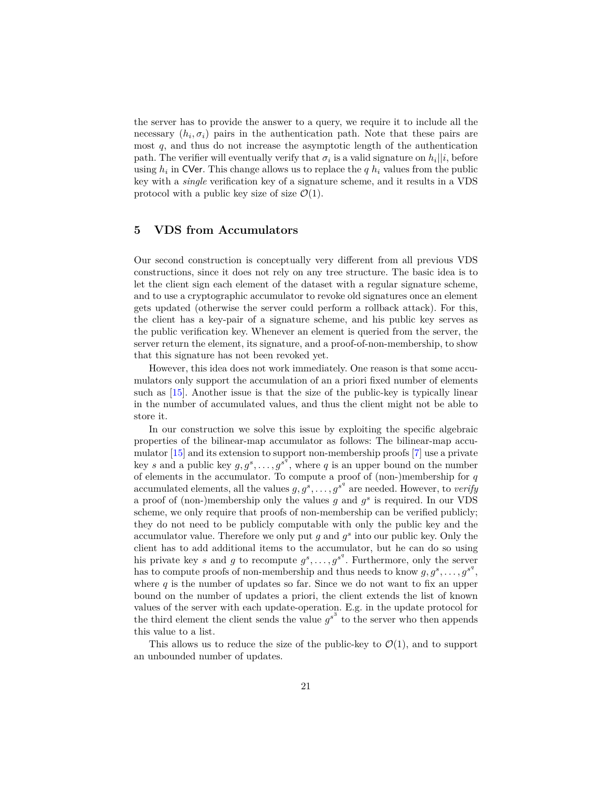the server has to provide the answer to a query, we require it to include all the necessary  $(h_i, \sigma_i)$  pairs in the authentication path. Note that these pairs are most  $q$ , and thus do not increase the asymptotic length of the authentication path. The verifier will eventually verify that  $\sigma_i$  is a valid signature on  $h_i||i$ , before using  $h_i$  in CVer. This change allows us to replace the  $q h_i$  values from the public key with a *single* verification key of a signature scheme, and it results in a VDS protocol with a public key size of size  $\mathcal{O}(1)$ .

# <span id="page-20-0"></span>**5 VDS from Accumulators**

Our second construction is conceptually very different from all previous VDS constructions, since it does not rely on any tree structure. The basic idea is to let the client sign each element of the dataset with a regular signature scheme, and to use a cryptographic accumulator to revoke old signatures once an element gets updated (otherwise the server could perform a rollback attack). For this, the client has a key-pair of a signature scheme, and his public key serves as the public verification key. Whenever an element is queried from the server, the server return the element, its signature, and a proof-of-non-membership, to show that this signature has not been revoked yet.

However, this idea does not work immediately. One reason is that some accumulators only support the accumulation of an a priori fixed number of elements such as [\[15\]](#page-27-1). Another issue is that the size of the public-key is typically linear in the number of accumulated values, and thus the client might not be able to store it.

In our construction we solve this issue by exploiting the specific algebraic properties of the bilinear-map accumulator as follows: The bilinear-map accumulator [\[15\]](#page-27-1) and its extension to support non-membership proofs [\[7\]](#page-27-10) use a private key *s* and a public key  $g, g^s, \ldots, g^{s^q}$ , where *q* is an upper bound on the number of elements in the accumulator. To compute a proof of (non-)membership for *q* accumulated elements, all the values  $g, g^s, \ldots, g^{s^q}$  are needed. However, to *verify* a proof of (non-)membership only the values *g* and *g s* is required. In our VDS scheme, we only require that proofs of non-membership can be verified publicly; they do not need to be publicly computable with only the public key and the accumulator value. Therefore we only put *g* and *g s* into our public key. Only the client has to add additional items to the accumulator, but he can do so using his private key *s* and *g* to recompute  $g^s, \ldots, g^{s^q}$ . Furthermore, only the server has to compute proofs of non-membership and thus needs to know  $g, g^s, \ldots, g^{s^q}$ , where  $q$  is the number of updates so far. Since we do not want to fix an upper bound on the number of updates a priori, the client extends the list of known values of the server with each update-operation. E.g. in the update protocol for the third element the client sends the value  $g^{s^3}$  to the server who then appends this value to a list.

This allows us to reduce the size of the public-key to  $\mathcal{O}(1)$ , and to support an unbounded number of updates.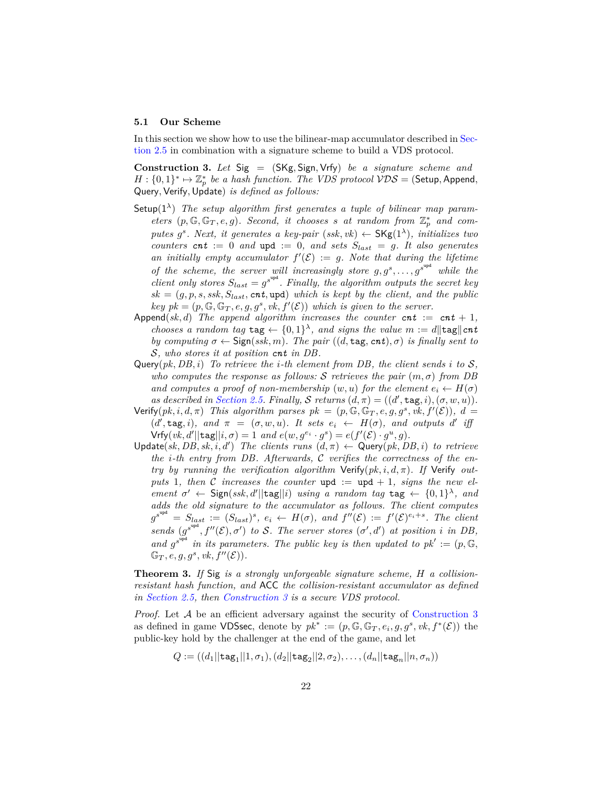#### **5.1 Our Scheme**

In this section we show how to use the bilinear-map accumulator described in [Sec](#page-6-0)[tion 2.5](#page-6-0) in combination with a signature scheme to build a VDS protocol.

<span id="page-21-0"></span>**Construction 3.** *Let* Sig = (SKg*,* Sign*,* Vrfy) *be a signature scheme and*  $H: \{0,1\}^* \mapsto \mathbb{Z}_p^*$  *be a hash function. The VDS protocol*  $\mathcal{VDS} =$  (Setup, Append, Query*,* Verify*,*Update) *is defined as follows:*

- $\mathsf{Setup}(1^{\lambda})$  The setup algorithm first generates a tuple of bilinear map param*eters*  $(p, \mathbb{G}, \mathbb{G}_T, e, g)$ *. Second, it chooses s at random from*  $\mathbb{Z}_p^*$  *and com* $putes g<sup>s</sup>$ . Next, it generates a key-pair  $(ssk, vk) \leftarrow \mathsf{SKg}(1^{\lambda})$ , initializes two *counters*  $\text{cnt} := 0$  *and*  $\text{upd} := 0$ *, and sets*  $S_{last} = g$ *. It also generates* an initially empty accumulator  $f'(\mathcal{E}) := g$ . Note that during the lifetime *of the scheme, the server will increasingly store*  $g, g^s, \ldots, g^{s^{upd}}$  *while the client only stores*  $S_{last} = g^{s^{upd}}$ *. Finally, the algorithm outputs the secret key*  $sk = (g, p, s, ssk, S<sub>last</sub>, \text{cnt}, \text{upd})$  *which is kept by the client, and the public*  $key\ pk = (p, \mathbb{G}, \mathbb{G}_T, e, g, g^s, vk, f'(\mathcal{E}))$  *which is given to the server.*
- Append(*sk,d*) The append algorithm increases the counter  $\text{cnt} := \text{cnt} + 1$ , *chooses a random tag*  $\text{tag } \in \{0,1\}^{\lambda}$ , and signs the value  $m := d \text{arg} n t$ *by computing*  $\sigma \leftarrow$  Sign(*ssk, m*)*. The pair* ((*d,* tag*, cnt*)*,* $\sigma$ ) *is finally sent to* S*, who stores it at position cnt in DB.*
- Query( $pk$ ,  $DB$ , *i*) To retrieve the *i*-th element from DB, the client sends *i* to  $S$ , *who computes the response as follows:*  $S$  *retrieves the pair*  $(m, \sigma)$  *from DB and computes a proof of non-membership*  $(w, u)$  *for the element*  $e_i \leftarrow H(\sigma)$ *as described in [Section 2.5.](#page-6-0) Finally, S returns*  $(d, \pi) = ((d', \text{tag}, i), (\sigma, w, u))$ *.*
- $\mathsf{Verify}(pk, i, d, \pi)$  *This algorithm parses pk* =  $(p, \mathbb{G}, \mathbb{G}_T, e, g, g^s, \overline{vk}, f'(\mathcal{E}))$ *, d* =  $(d', \text{tag}, i)$ *, and*  $\pi = (\sigma, w, u)$ *. It sets*  $e_i \leftarrow H(\sigma)$ *, and outputs d' iff*  $Vrfy(vk, d'||tag||i, \sigma) = 1$  *and*  $e(w, g^{e_i} \cdot g^s) = e(f'(\mathcal{E}) \cdot g^u, g)$ .
- $\textsf{Update}(sk, DB, sk, i, d')$  The clients runs  $(d, \pi) \leftarrow \textsf{Query}(pk, DB, i)$  to retrieve *the i-th entry from DB. Afterwards,* C *verifies the correctness of the entry by running the verification algorithm* Verify(*pk, i, d, π*)*. If* Verify *out*puts 1, then C increases the counter upd := upd + 1, signs the new el*ement*  $\sigma' \leftarrow$  Sign(*ssk, d'*||tag||*i*) *using a random tag* tag  $\leftarrow \{0,1\}^{\lambda}$ , *and adds the old signature to the accumulator as follows. The client computes*  $g^{s^{upd}} = S_{last} := (S_{last})^s$ ,  $e_i \leftarrow H(\sigma)$ , and  $f''(\mathcal{E}) := f'(\mathcal{E})^{e_i + s}$ . The client *sends*  $(g^{s^{upd}}, f''(\mathcal{E}), \sigma')$  *to* S*.* The server stores  $(\sigma', d')$  *at position i in DB*, and  $g^{s^{upd}}$  in its parameters. The public key is then updated to  $pk' := (p, \mathbb{G},$  $\mathbb{G}_T$ *, e, g, g<sup>s</sup>, vk, f''*( $\mathcal{E}$ )).

**Theorem 3.** *If* Sig *is a strongly unforgeable signature scheme, H a collisionresistant hash function, and* ACC *the collision-resistant accumulator as defined in [Section 2.5,](#page-6-0) then [Construction 3](#page-21-0) is a secure VDS protocol.*

*Proof.* Let A be an efficient adversary against the security of [Construction 3](#page-21-0) as defined in game VDSsec, denote by  $pk^* := (p, \mathbb{G}, \mathbb{G}_T, e_i, g, g^s, vk, f^*(\mathcal{E}))$  the public-key hold by the challenger at the end of the game, and let

$$
Q:=((d_1||\texttt{tag}_1||1,\sigma_1),(d_2||\texttt{tag}_2||2,\sigma_2),\ldots,(d_n||\texttt{tag}_n||n,\sigma_n))
$$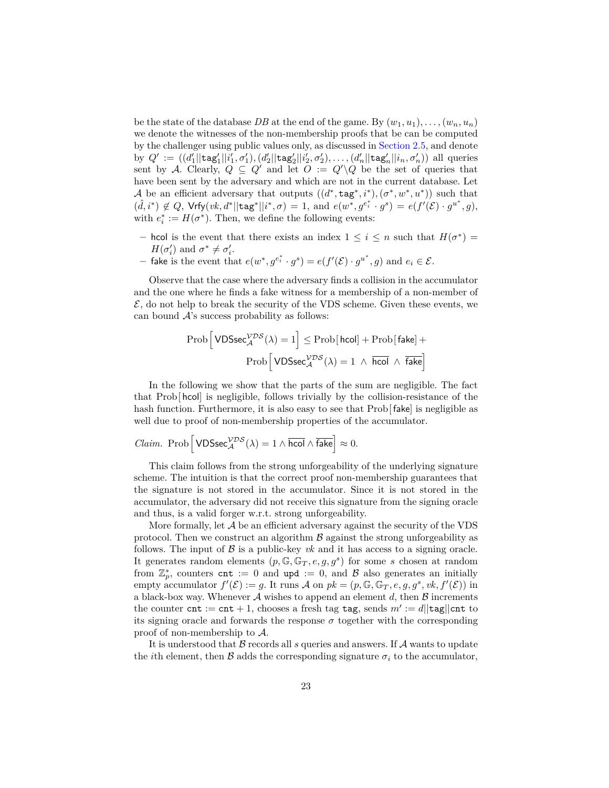be the state of the database DB at the end of the game. By  $(w_1, u_1), \ldots, (w_n, u_n)$ we denote the witnesses of the non-membership proofs that be can be computed by the challenger using public values only, as discussed in [Section 2.5,](#page-6-0) and denote by  $Q' := ((d_1'||\mathsf{tag}_1'||i_1', \sigma_1'), (d_2'||\mathsf{tag}_2'||i_2', \sigma_2'), \dots, (d_n'||\mathsf{tag}_n||i_n, \sigma_n'))$  all queries sent by A. Clearly,  $Q \subseteq Q'$  and let  $O := Q' \setminus Q$  be the set of queries that have been sent by the adversary and which are not in the current database. Let A be an efficient adversary that outputs  $((d^*, \text{tag}^*, i^*), (\sigma^*, w^*, u^*))$  such that  $(\hat{d}, i^*) \notin Q$ , Vrfy $(vk, d^*||\text{tag}^*||i^*, \sigma) = 1$ , and  $e(w^*, g^{e_i^*} \cdot g^s) = e(f'(\mathcal{E}) \cdot g^{u^*}, g)$ , with  $e_i^* := H(\sigma^*)$ . Then, we define the following events:

- $-$  hcol is the event that there exists an index  $1 \leq i \leq n$  such that  $H(\sigma^*) =$  $H(\sigma_i')$  and  $\sigma^* \neq \sigma_i'$ .
- $\overline{H}(o_i)$  and  $o \neq o_i$ .<br>  $\overline{H}(o_i)$  and  $o \neq o_i$ .<br>  $\overline{H}(o_i)$  and  $o \neq o_i$ .<br>  $\overline{H}(o_i)$  and  $o \neq o_i$ .

Observe that the case where the adversary finds a collision in the accumulator and the one where he finds a fake witness for a membership of a non-member of  $\mathcal{E}$ , do not help to break the security of the VDS scheme. Given these events, we can bound  $A$ 's success probability as follows:

$$
\text{Prob}\left[\text{VDSsec}_{\mathcal{A}}^{\mathcal{VDS}}(\lambda) = 1\right] \le \text{Prob}\left[\text{hcol}\right] + \text{Prob}\left[\text{fake}\right] + \\ \text{Prob}\left[\text{VDSsec}_{\mathcal{A}}^{\mathcal{VDS}}(\lambda) = 1 \ \wedge \ \overline{\text{hcol}} \ \wedge \ \overline{\text{fake}}\right]
$$

In the following we show that the parts of the sum are negligible. The fact that Prob[ hcol] is negligible, follows trivially by the collision-resistance of the hash function. Furthermore, it is also easy to see that Prob [fake] is negligible as well due to proof of non-membership properties of the accumulator.

*Claim.* Prob
$$
\left[\text{VDSsec}^{\text{VDS}}_{\mathcal{A}}(\lambda) = 1 \land \overline{\text{hcol}} \land \overline{\text{fake}}\right] \approx 0.
$$

This claim follows from the strong unforgeability of the underlying signature scheme. The intuition is that the correct proof non-membership guarantees that the signature is not stored in the accumulator. Since it is not stored in the accumulator, the adversary did not receive this signature from the signing oracle and thus, is a valid forger w.r.t. strong unforgeability.

More formally, let  $A$  be an efficient adversary against the security of the VDS protocol. Then we construct an algorithm  $\beta$  against the strong unforgeability as follows. The input of  $\beta$  is a public-key *vk* and it has access to a signing oracle. It generates random elements  $(p, \mathbb{G}, \mathbb{G}_T, e, g, g^s)$  for some *s* chosen at random from  $\mathbb{Z}_p^*$ , counters cnt := 0 and upd := 0, and B also generates an initially empty accumulator  $f'(\mathcal{E}) := g$ . It runs A on  $pk = (p, \mathbb{G}, \mathbb{G}_T, e, g, g^s, vk, f'(\mathcal{E}))$  in a black-box way. Whenever  $A$  wishes to append an element  $d$ , then  $B$  increments the counter  $\text{cnt} := \text{cnt} + 1$ , chooses a fresh tag tag, sends  $m' := d||\text{tag}||\text{cnt to}$ its signing oracle and forwards the response  $\sigma$  together with the corresponding proof of non-membership to A.

It is understood that  $\beta$  records all  $s$  queries and answers. If  $\mathcal A$  wants to update the *i*th element, then  $\beta$  adds the corresponding signature  $\sigma_i$  to the accumulator,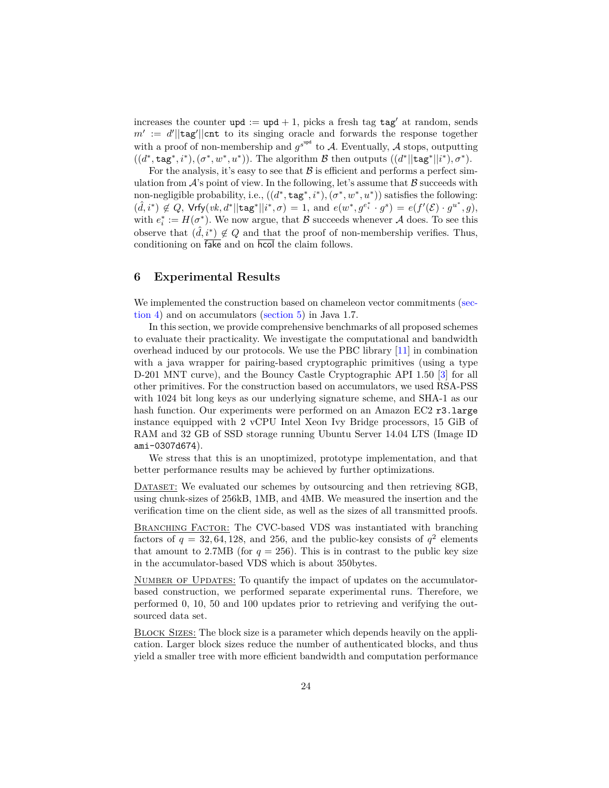increases the counter  $upd := upd + 1$ , picks a fresh tag  $tag'$  at random, sends  $m' := d'$  ||tag' ||cnt to its singing oracle and forwards the response together with a proof of non-membership and  $g^{s^{upd}}$  to A. Eventually, A stops, outputting  $((d^*, \text{tag}^*, i^*), (\sigma^*, w^*, u^*))$ . The algorithm  $\mathcal B$  then outputs  $((d^*||\text{tag}^*|| i^*), \sigma^*).$ 

For the analysis, it's easy to see that  $\beta$  is efficient and performs a perfect simulation from  $\mathcal{A}$ 's point of view. In the following, let's assume that  $\mathcal{B}$  succeeds with non-negligible probability, i.e.,  $((d^*, \text{tag}^*, i^*), (\sigma^*, w^*, u^*))$  satisfies the following:  $(\hat{d}, i^*) \notin Q$ , Vrfy $(vk, d^*||\text{tag}^*||i^*, \sigma) = 1$ , and  $e(w^*, g^{e_i^* \cdots g_s^*}) = e(f'(\mathcal{E}) \cdot g^{u^*}, g)$ , with  $e_i^* := H(\sigma^*)$ . We now argue, that B succeeds whenever A does. To see this observe that  $(\hat{d}, i^*) \notin Q$  and that the proof of non-membership verifies. Thus, conditioning on fake and on hcol the claim follows.

## <span id="page-23-0"></span>**6 Experimental Results**

We implemented the construction based on chameleon vector commitments [\(sec](#page-12-0)[tion 4\)](#page-12-0) and on accumulators [\(section 5\)](#page-20-0) in Java 1.7.

In this section, we provide comprehensive benchmarks of all proposed schemes to evaluate their practicality. We investigate the computational and bandwidth overhead induced by our protocols. We use the PBC library [\[11\]](#page-27-13) in combination with a java wrapper for pairing-based cryptographic primitives (using a type D-201 MNT curve), and the Bouncy Castle Cryptographic API 1.50 [\[3\]](#page-26-5) for all other primitives. For the construction based on accumulators, we used RSA-PSS with 1024 bit long keys as our underlying signature scheme, and SHA-1 as our hash function. Our experiments were performed on an Amazon EC2 r3.large instance equipped with 2 vCPU Intel Xeon Ivy Bridge processors, 15 GiB of RAM and 32 GB of SSD storage running Ubuntu Server 14.04 LTS (Image ID ami-0307d674).

We stress that this is an unoptimized, prototype implementation, and that better performance results may be achieved by further optimizations.

DATASET: We evaluated our schemes by outsourcing and then retrieving 8GB, using chunk-sizes of 256kB, 1MB, and 4MB. We measured the insertion and the verification time on the client side, as well as the sizes of all transmitted proofs.

BRANCHING FACTOR: The CVC-based VDS was instantiated with branching factors of  $q = 32, 64, 128,$  and 256, and the public-key consists of  $q<sup>2</sup>$  elements that amount to 2.7MB (for  $q = 256$ ). This is in contrast to the public key size in the accumulator-based VDS which is about 350bytes.

Number of Updates: To quantify the impact of updates on the accumulatorbased construction, we performed separate experimental runs. Therefore, we performed 0, 10, 50 and 100 updates prior to retrieving and verifying the outsourced data set.

Block Sizes: The block size is a parameter which depends heavily on the application. Larger block sizes reduce the number of authenticated blocks, and thus yield a smaller tree with more efficient bandwidth and computation performance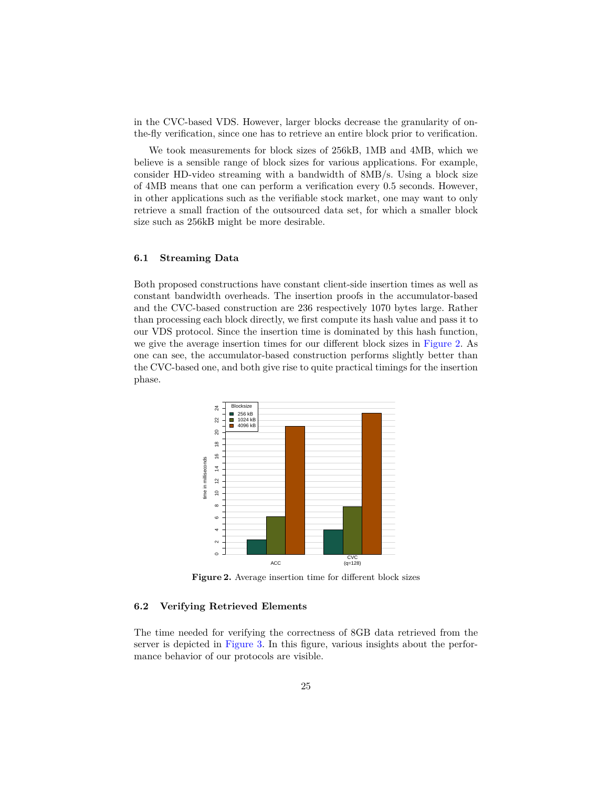in the CVC-based VDS. However, larger blocks decrease the granularity of onthe-fly verification, since one has to retrieve an entire block prior to verification.

We took measurements for block sizes of 256kB, 1MB and 4MB, which we believe is a sensible range of block sizes for various applications. For example, consider HD-video streaming with a bandwidth of 8MB/s. Using a block size of 4MB means that one can perform a verification every 0.5 seconds. However, in other applications such as the verifiable stock market, one may want to only retrieve a small fraction of the outsourced data set, for which a smaller block size such as 256kB might be more desirable.

## **6.1 Streaming Data**

Both proposed constructions have constant client-side insertion times as well as constant bandwidth overheads. The insertion proofs in the accumulator-based and the CVC-based construction are 236 respectively 1070 bytes large. Rather than processing each block directly, we first compute its hash value and pass it to our VDS protocol. Since the insertion time is dominated by this hash function, we give the average insertion times for our different block sizes in [Figure 2.](#page-24-0) As one can see, the accumulator-based construction performs slightly better than the CVC-based one, and both give rise to quite practical timings for the insertion phase.



<span id="page-24-0"></span>**Figure 2.** Average insertion time for different block sizes

## **6.2 Verifying Retrieved Elements**

The time needed for verifying the correctness of 8GB data retrieved from the server is depicted in [Figure 3.](#page-25-0) In this figure, various insights about the performance behavior of our protocols are visible.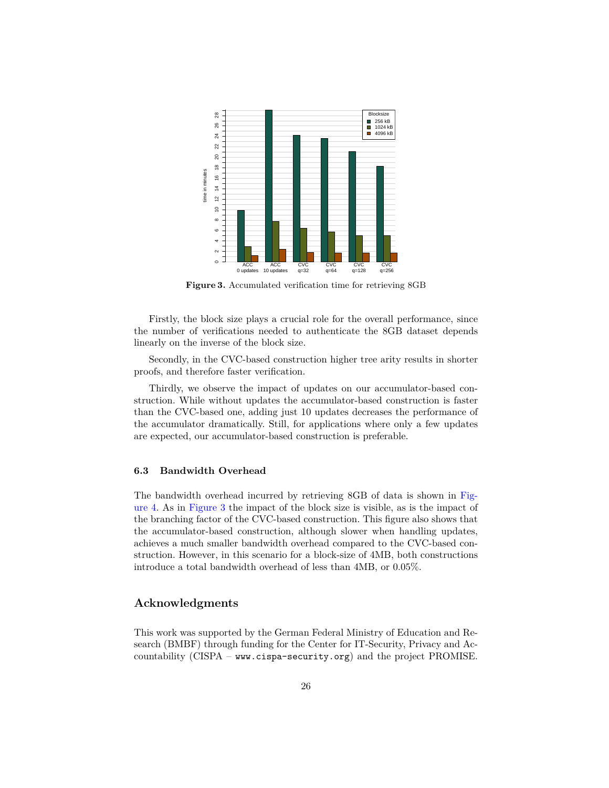

<span id="page-25-0"></span>**Figure 3.** Accumulated verification time for retrieving 8GB

Firstly, the block size plays a crucial role for the overall performance, since the number of verifications needed to authenticate the 8GB dataset depends linearly on the inverse of the block size.

Secondly, in the CVC-based construction higher tree arity results in shorter proofs, and therefore faster verification.

Thirdly, we observe the impact of updates on our accumulator-based construction. While without updates the accumulator-based construction is faster than the CVC-based one, adding just 10 updates decreases the performance of the accumulator dramatically. Still, for applications where only a few updates are expected, our accumulator-based construction is preferable.

## **6.3 Bandwidth Overhead**

The bandwidth overhead incurred by retrieving 8GB of data is shown in [Fig](#page-26-6)[ure 4.](#page-26-6) As in [Figure 3](#page-25-0) the impact of the block size is visible, as is the impact of the branching factor of the CVC-based construction. This figure also shows that the accumulator-based construction, although slower when handling updates, achieves a much smaller bandwidth overhead compared to the CVC-based construction. However, in this scenario for a block-size of 4MB, both constructions introduce a total bandwidth overhead of less than 4MB, or 0*.*05%.

# **Acknowledgments**

This work was supported by the German Federal Ministry of Education and Research (BMBF) through funding for the Center for IT-Security, Privacy and Accountability (CISPA – www.cispa-security.org) and the project PROMISE.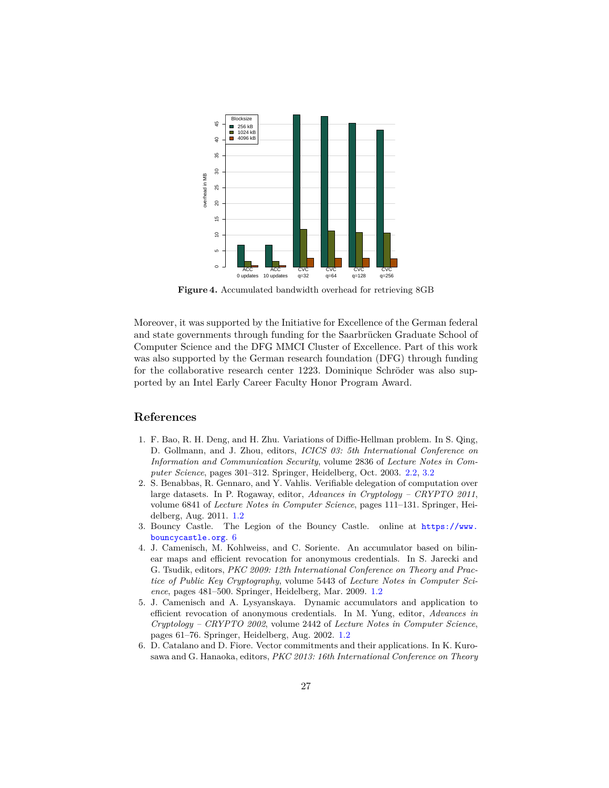

<span id="page-26-6"></span>**Figure 4.** Accumulated bandwidth overhead for retrieving 8GB

Moreover, it was supported by the Initiative for Excellence of the German federal and state governments through funding for the Saarbrücken Graduate School of Computer Science and the DFG MMCI Cluster of Excellence. Part of this work was also supported by the German research foundation (DFG) through funding for the collaborative research center 1223. Dominique Schröder was also supported by an Intel Early Career Faculty Honor Program Award.

# **References**

- <span id="page-26-4"></span>1. F. Bao, R. H. Deng, and H. Zhu. Variations of Diffie-Hellman problem. In S. Qing, D. Gollmann, and J. Zhou, editors, *ICICS 03: 5th International Conference on Information and Communication Security*, volume 2836 of *Lecture Notes in Computer Science*, pages 301–312. Springer, Heidelberg, Oct. 2003. [2.2,](#page-4-0) [3.2](#page-11-1)
- <span id="page-26-1"></span>2. S. Benabbas, R. Gennaro, and Y. Vahlis. Verifiable delegation of computation over large datasets. In P. Rogaway, editor, *Advances in Cryptology – CRYPTO 2011*, volume 6841 of *Lecture Notes in Computer Science*, pages 111–131. Springer, Heidelberg, Aug. 2011. [1.2](#page-2-0)
- <span id="page-26-5"></span>3. Bouncy Castle. The Legion of the Bouncy Castle. online at [https://www.](https://www.bouncycastle.org) [bouncycastle.org](https://www.bouncycastle.org). [6](#page-23-0)
- <span id="page-26-2"></span>4. J. Camenisch, M. Kohlweiss, and C. Soriente. An accumulator based on bilinear maps and efficient revocation for anonymous credentials. In S. Jarecki and G. Tsudik, editors, *PKC 2009: 12th International Conference on Theory and Practice of Public Key Cryptography*, volume 5443 of *Lecture Notes in Computer Science*, pages 481–500. Springer, Heidelberg, Mar. 2009. [1.2](#page-2-0)
- <span id="page-26-3"></span>5. J. Camenisch and A. Lysyanskaya. Dynamic accumulators and application to efficient revocation of anonymous credentials. In M. Yung, editor, *Advances in Cryptology – CRYPTO 2002*, volume 2442 of *Lecture Notes in Computer Science*, pages 61–76. Springer, Heidelberg, Aug. 2002. [1.2](#page-2-0)
- <span id="page-26-0"></span>6. D. Catalano and D. Fiore. Vector commitments and their applications. In K. Kurosawa and G. Hanaoka, editors, *PKC 2013: 16th International Conference on Theory*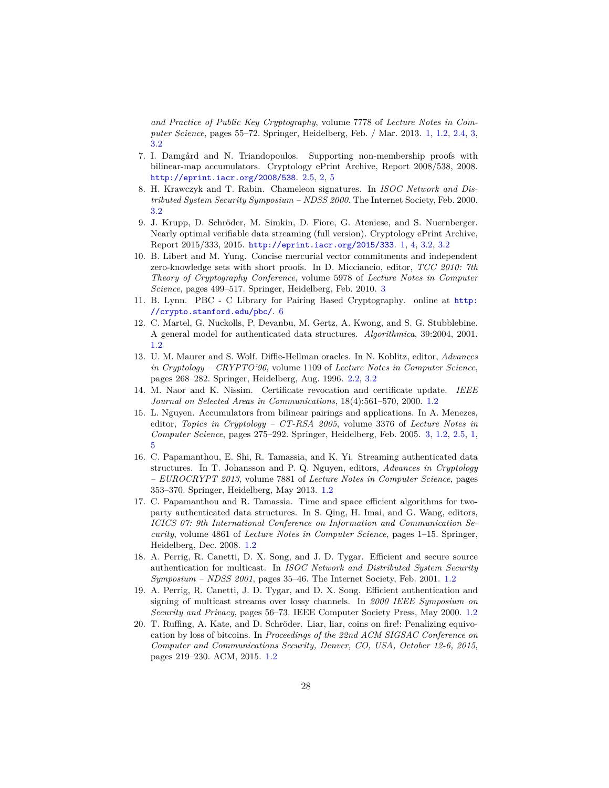*and Practice of Public Key Cryptography*, volume 7778 of *Lecture Notes in Computer Science*, pages 55–72. Springer, Heidelberg, Feb. / Mar. 2013. [1,](#page-1-1) [1.2,](#page-2-0) [2.4,](#page-5-0) [3,](#page-8-1) [3.2](#page-11-1)

- <span id="page-27-10"></span>7. I. Damgård and N. Triandopoulos. Supporting non-membership proofs with bilinear-map accumulators. Cryptology ePrint Archive, Report 2008/538, 2008. <http://eprint.iacr.org/2008/538>. [2.5,](#page-6-0) [2,](#page-7-0) [5](#page-20-0)
- <span id="page-27-12"></span>8. H. Krawczyk and T. Rabin. Chameleon signatures. In *ISOC Network and Distributed System Security Symposium – NDSS 2000*. The Internet Society, Feb. 2000. [3.2](#page-11-1)
- <span id="page-27-0"></span>9. J. Krupp, D. Schröder, M. Simkin, D. Fiore, G. Ateniese, and S. Nuernberger. Nearly optimal verifiable data streaming (full version). Cryptology ePrint Archive, Report 2015/333, 2015. <http://eprint.iacr.org/2015/333>. [1,](#page-1-1) [4,](#page-1-2) [3.2,](#page-11-1) [3.2](#page-12-2)
- <span id="page-27-11"></span>10. B. Libert and M. Yung. Concise mercurial vector commitments and independent zero-knowledge sets with short proofs. In D. Micciancio, editor, *TCC 2010: 7th Theory of Cryptography Conference*, volume 5978 of *Lecture Notes in Computer Science*, pages 499–517. Springer, Heidelberg, Feb. 2010. [3](#page-8-1)
- <span id="page-27-13"></span>11. B. Lynn. PBC - C Library for Pairing Based Cryptography. online at [http:](http://crypto.stanford.edu/pbc/) [//crypto.stanford.edu/pbc/](http://crypto.stanford.edu/pbc/). [6](#page-23-0)
- <span id="page-27-3"></span>12. C. Martel, G. Nuckolls, P. Devanbu, M. Gertz, A. Kwong, and S. G. Stubblebine. A general model for authenticated data structures. *Algorithmica*, 39:2004, 2001. [1.2](#page-2-0)
- <span id="page-27-9"></span>13. U. M. Maurer and S. Wolf. Diffie-Hellman oracles. In N. Koblitz, editor, *Advances in Cryptology – CRYPTO'96*, volume 1109 of *Lecture Notes in Computer Science*, pages 268–282. Springer, Heidelberg, Aug. 1996. [2.2,](#page-4-0) [3.2](#page-11-1)
- <span id="page-27-2"></span>14. M. Naor and K. Nissim. Certificate revocation and certificate update. *IEEE Journal on Selected Areas in Communications*, 18(4):561–570, 2000. [1.2](#page-2-0)
- <span id="page-27-1"></span>15. L. Nguyen. Accumulators from bilinear pairings and applications. In A. Menezes, editor, *Topics in Cryptology – CT-RSA 2005*, volume 3376 of *Lecture Notes in Computer Science*, pages 275–292. Springer, Heidelberg, Feb. 2005. [3,](#page-1-3) [1.2,](#page-2-0) [2.5,](#page-6-0) [1,](#page-7-1) [5](#page-20-0)
- <span id="page-27-5"></span>16. C. Papamanthou, E. Shi, R. Tamassia, and K. Yi. Streaming authenticated data structures. In T. Johansson and P. Q. Nguyen, editors, *Advances in Cryptology – EUROCRYPT 2013*, volume 7881 of *Lecture Notes in Computer Science*, pages 353–370. Springer, Heidelberg, May 2013. [1.2](#page-2-0)
- <span id="page-27-4"></span>17. C. Papamanthou and R. Tamassia. Time and space efficient algorithms for twoparty authenticated data structures. In S. Qing, H. Imai, and G. Wang, editors, *ICICS 07: 9th International Conference on Information and Communication Security*, volume 4861 of *Lecture Notes in Computer Science*, pages 1–15. Springer, Heidelberg, Dec. 2008. [1.2](#page-2-0)
- <span id="page-27-7"></span>18. A. Perrig, R. Canetti, D. X. Song, and J. D. Tygar. Efficient and secure source authentication for multicast. In *ISOC Network and Distributed System Security Symposium – NDSS 2001*, pages 35–46. The Internet Society, Feb. 2001. [1.2](#page-2-0)
- <span id="page-27-6"></span>19. A. Perrig, R. Canetti, J. D. Tygar, and D. X. Song. Efficient authentication and signing of multicast streams over lossy channels. In *2000 IEEE Symposium on Security and Privacy*, pages 56–73. IEEE Computer Society Press, May 2000. [1.2](#page-2-0)
- <span id="page-27-8"></span>20. T. Ruffing, A. Kate, and D. Schröder. Liar, liar, coins on fire!: Penalizing equivocation by loss of bitcoins. In *Proceedings of the 22nd ACM SIGSAC Conference on Computer and Communications Security, Denver, CO, USA, October 12-6, 2015*, pages 219–230. ACM, 2015. [1.2](#page-2-0)